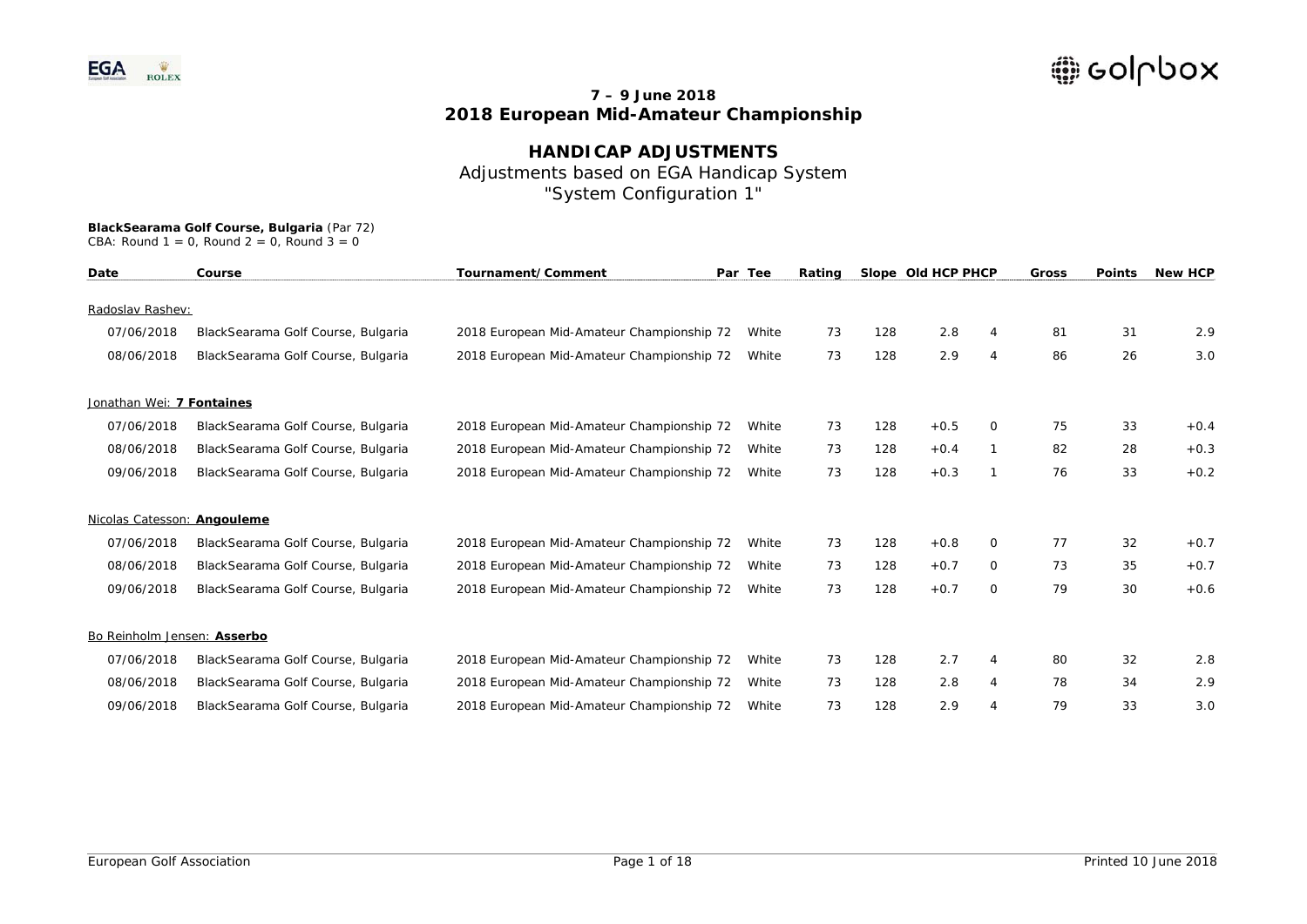## **HANDICAP ADJUSTMENTS**  Adjustments based on EGA Handicap System "System Configuration 1"

| Date                        | Course                             | Tournament/Comment                        | Par Tee |    |     | Rating |          | Slope Old HCP PHCP |    | Gross  | <b>Points</b> | <b>New HCP</b> |
|-----------------------------|------------------------------------|-------------------------------------------|---------|----|-----|--------|----------|--------------------|----|--------|---------------|----------------|
|                             |                                    |                                           |         |    |     |        |          |                    |    |        |               |                |
| Radoslav Rashev:            |                                    |                                           |         |    |     |        |          |                    |    |        |               |                |
| 07/06/2018                  | BlackSearama Golf Course, Bulgaria | 2018 European Mid-Amateur Championship 72 | White   | 73 | 128 | 2.8    |          | 81                 | 31 | 2.9    |               |                |
| 08/06/2018                  | BlackSearama Golf Course, Bulgaria | 2018 European Mid-Amateur Championship 72 | White   | 73 | 128 | 2.9    | 4        | 86                 | 26 | 3.0    |               |                |
| Jonathan Wei: 7 Fontaines   |                                    |                                           |         |    |     |        |          |                    |    |        |               |                |
| 07/06/2018                  | BlackSearama Golf Course, Bulgaria | 2018 European Mid-Amateur Championship 72 | White   | 73 | 128 | $+0.5$ | $\Omega$ | 75                 | 33 | $+0.4$ |               |                |
| 08/06/2018                  | BlackSearama Golf Course, Bulgaria | 2018 European Mid-Amateur Championship 72 | White   | 73 | 128 | $+0.4$ |          | 82                 | 28 | $+0.3$ |               |                |
| 09/06/2018                  | BlackSearama Golf Course, Bulgaria | 2018 European Mid-Amateur Championship 72 | White   | 73 | 128 | $+0.3$ |          | 76                 | 33 | $+0.2$ |               |                |
| Nicolas Catesson: Angouleme |                                    |                                           |         |    |     |        |          |                    |    |        |               |                |
| 07/06/2018                  | BlackSearama Golf Course, Bulgaria | 2018 European Mid-Amateur Championship 72 | White   | 73 | 128 | $+0.8$ | 0        | 77                 | 32 | $+0.7$ |               |                |
| 08/06/2018                  | BlackSearama Golf Course, Bulgaria | 2018 European Mid-Amateur Championship 72 | White   | 73 | 128 | $+0.7$ | 0        | 73                 | 35 | $+0.7$ |               |                |
| 09/06/2018                  | BlackSearama Golf Course, Bulgaria | 2018 European Mid-Amateur Championship 72 | White   | 73 | 128 | $+0.7$ | $\circ$  | 79                 | 30 | $+0.6$ |               |                |
| Bo Reinholm Jensen: Asserbo |                                    |                                           |         |    |     |        |          |                    |    |        |               |                |
| 07/06/2018                  | BlackSearama Golf Course, Bulgaria | 2018 European Mid-Amateur Championship 72 | White   | 73 | 128 | 2.7    | 4        | 80                 | 32 | 2.8    |               |                |
| 08/06/2018                  | BlackSearama Golf Course, Bulgaria | 2018 European Mid-Amateur Championship 72 | White   | 73 | 128 | 2.8    | 4        | 78                 | 34 | 2.9    |               |                |
| 09/06/2018                  | BlackSearama Golf Course, Bulgaria | 2018 European Mid-Amateur Championship 72 | White   | 73 | 128 | 2.9    |          | 79                 | 33 | 3.0    |               |                |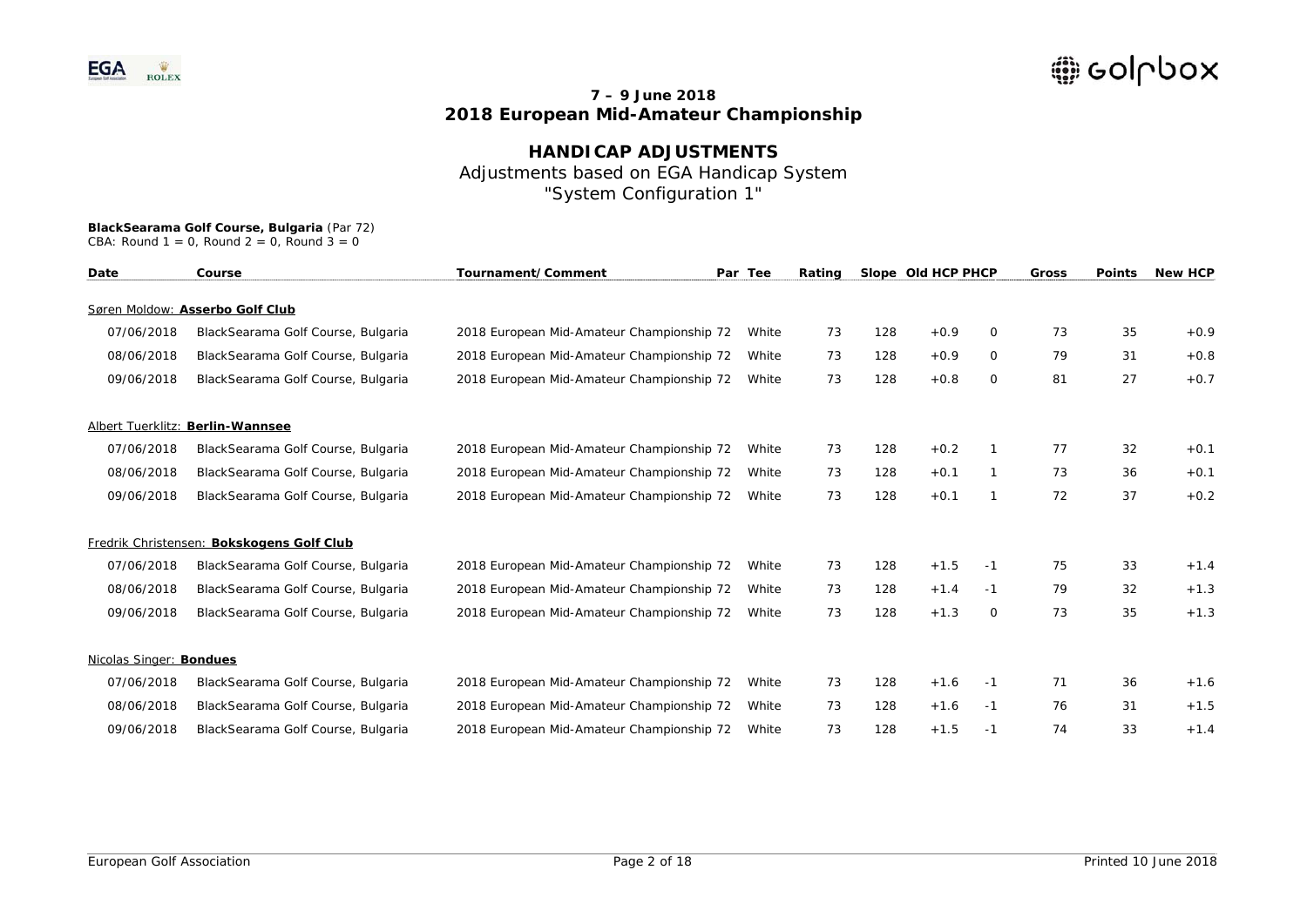## **HANDICAP ADJUSTMENTS**  Adjustments based on EGA Handicap System "System Configuration 1"

| Date                    | Course                                    | Tournament/Comment                        | Par Tee | Rating |     | Slope Old HCP PHCP |      | <b>Gross</b> | <b>Points</b> | <b>New HCP</b> |
|-------------------------|-------------------------------------------|-------------------------------------------|---------|--------|-----|--------------------|------|--------------|---------------|----------------|
|                         | Søren Moldow: Asserbo Golf Club           |                                           |         |        |     |                    |      |              |               |                |
| 07/06/2018              | BlackSearama Golf Course, Bulgaria        | 2018 European Mid-Amateur Championship 72 | White   | 73     | 128 | $+0.9$             | 0    | 73           | 35            | $+0.9$         |
| 08/06/2018              | BlackSearama Golf Course, Bulgaria        | 2018 European Mid-Amateur Championship 72 | White   | 73     | 128 | $+0.9$             | 0    | 79           | 31            | $+0.8$         |
| 09/06/2018              | BlackSearama Golf Course, Bulgaria        | 2018 European Mid-Amateur Championship 72 | White   | 73     | 128 | $+0.8$             | 0    | 81           | 27            | $+0.7$         |
|                         | Albert Tuerklitz: Berlin-Wannsee          |                                           |         |        |     |                    |      |              |               |                |
| 07/06/2018              | BlackSearama Golf Course, Bulgaria        | 2018 European Mid-Amateur Championship 72 | White   | 73     | 128 | $+0.2$             |      | 77           | 32            | $+0.1$         |
| 08/06/2018              | BlackSearama Golf Course, Bulgaria        | 2018 European Mid-Amateur Championship 72 | White   | 73     | 128 | $+0.1$             |      | 73           | 36            | $+0.1$         |
| 09/06/2018              | BlackSearama Golf Course, Bulgaria        | 2018 European Mid-Amateur Championship 72 | White   | 73     | 128 | $+0.1$             | -1   | 72           | 37            | $+0.2$         |
|                         | Fredrik Christensen: Bokskogens Golf Club |                                           |         |        |     |                    |      |              |               |                |
| 07/06/2018              | BlackSearama Golf Course, Bulgaria        | 2018 European Mid-Amateur Championship 72 | White   | 73     | 128 | $+1.5$             | -1   | 75           | 33            | $+1.4$         |
| 08/06/2018              | BlackSearama Golf Course, Bulgaria        | 2018 European Mid-Amateur Championship 72 | White   | 73     | 128 | $+1.4$             | $-1$ | 79           | 32            | $+1.3$         |
| 09/06/2018              | BlackSearama Golf Course, Bulgaria        | 2018 European Mid-Amateur Championship 72 | White   | 73     | 128 | $+1.3$             | 0    | 73           | 35            | $+1.3$         |
| Nicolas Singer: Bondues |                                           |                                           |         |        |     |                    |      |              |               |                |
| 07/06/2018              | BlackSearama Golf Course, Bulgaria        | 2018 European Mid-Amateur Championship 72 | White   | 73     | 128 | $+1.6$             | -1   | 71           | 36            | $+1.6$         |
| 08/06/2018              | BlackSearama Golf Course, Bulgaria        | 2018 European Mid-Amateur Championship 72 | White   | 73     | 128 | $+1.6$             | -1   | 76           | 31            | $+1.5$         |
| 09/06/2018              | BlackSearama Golf Course, Bulgaria        | 2018 European Mid-Amateur Championship 72 | White   | 73     | 128 | $+1.5$             | -1   | 74           | 33            | $+1.4$         |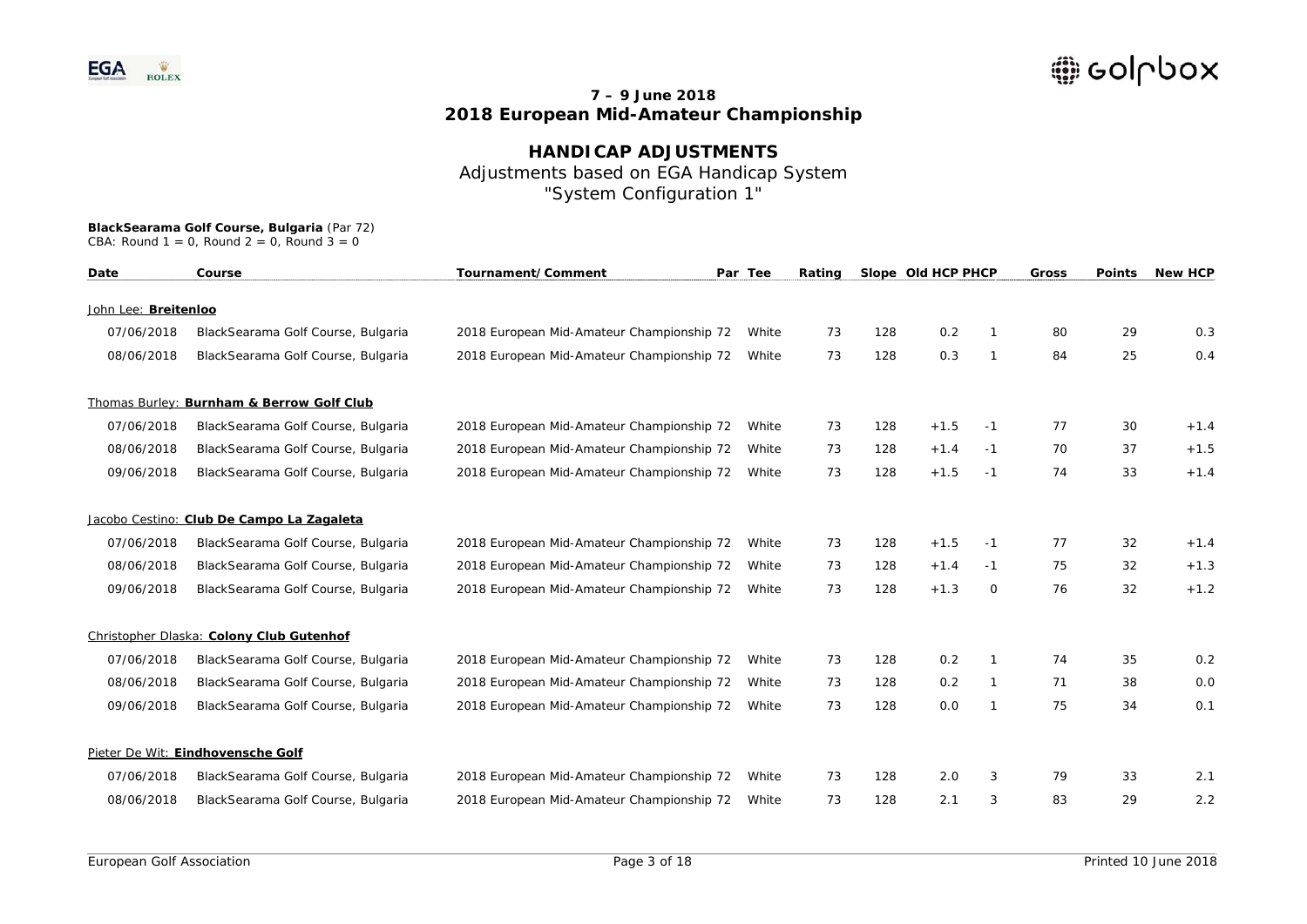## **HANDICAP ADJUSTMENTS**  Adjustments based on EGA Handicap System "System Configuration 1"

| Date                 | Course                                    | Tournament/Comment<br>Par Tee<br>Rating   |       | Slope Old HCP PHCP |     | Gross  | <b>Points</b> | <b>New HCP</b> |    |        |
|----------------------|-------------------------------------------|-------------------------------------------|-------|--------------------|-----|--------|---------------|----------------|----|--------|
| John Lee: Breitenloo |                                           |                                           |       |                    |     |        |               |                |    |        |
| 07/06/2018           | BlackSearama Golf Course, Bulgaria        | 2018 European Mid-Amateur Championship 72 | White | 73                 | 128 | 0.2    |               | 80             | 29 | 0.3    |
| 08/06/2018           | BlackSearama Golf Course, Bulgaria        | 2018 European Mid-Amateur Championship 72 | White | 73                 | 128 | 0.3    | $\mathbf{1}$  | 84             | 25 | 0.4    |
|                      | Thomas Burley: Burnham & Berrow Golf Club |                                           |       |                    |     |        |               |                |    |        |
| 07/06/2018           | BlackSearama Golf Course, Bulgaria        | 2018 European Mid-Amateur Championship 72 | White | 73                 | 128 | $+1.5$ | -1            | 77             | 30 | $+1.4$ |
| 08/06/2018           | BlackSearama Golf Course, Bulgaria        | 2018 European Mid-Amateur Championship 72 | White | 73                 | 128 | $+1.4$ | -1            | 70             | 37 | $+1.5$ |
| 09/06/2018           | BlackSearama Golf Course, Bulgaria        | 2018 European Mid-Amateur Championship 72 | White | 73                 | 128 | $+1.5$ | $-1$          | 74             | 33 | $+1.4$ |
|                      | Jacobo Cestino: Club De Campo La Zagaleta |                                           |       |                    |     |        |               |                |    |        |
| 07/06/2018           | BlackSearama Golf Course, Bulgaria        | 2018 European Mid-Amateur Championship 72 | White | 73                 | 128 | $+1.5$ | -1            | 77             | 32 | $+1.4$ |
| 08/06/2018           | BlackSearama Golf Course, Bulgaria        | 2018 European Mid-Amateur Championship 72 | White | 73                 | 128 | $+1.4$ | $-1$          | 75             | 32 | $+1.3$ |
| 09/06/2018           | BlackSearama Golf Course, Bulgaria        | 2018 European Mid-Amateur Championship 72 | White | 73                 | 128 | $+1.3$ | 0             | 76             | 32 | $+1.2$ |
|                      | Christopher Dlaska: Colony Club Gutenhof  |                                           |       |                    |     |        |               |                |    |        |
| 07/06/2018           | BlackSearama Golf Course, Bulgaria        | 2018 European Mid-Amateur Championship 72 | White | 73                 | 128 | 0.2    |               | 74             | 35 | 0.2    |
| 08/06/2018           | BlackSearama Golf Course, Bulgaria        | 2018 European Mid-Amateur Championship 72 | White | 73                 | 128 | 0.2    | $\mathbf{1}$  | 71             | 38 | 0.0    |
| 09/06/2018           | BlackSearama Golf Course, Bulgaria        | 2018 European Mid-Amateur Championship 72 | White | 73                 | 128 | 0.0    | -1            | 75             | 34 | 0.1    |
|                      | Pieter De Wit: Eindhovensche Golf         |                                           |       |                    |     |        |               |                |    |        |
| 07/06/2018           | BlackSearama Golf Course, Bulgaria        | 2018 European Mid-Amateur Championship 72 | White | 73                 | 128 | 2.0    | 3             | 79             | 33 | 2.1    |
| 08/06/2018           | BlackSearama Golf Course, Bulgaria        | 2018 European Mid-Amateur Championship 72 | White | 73                 | 128 | 2.1    | 3             | 83             | 29 | 2.2    |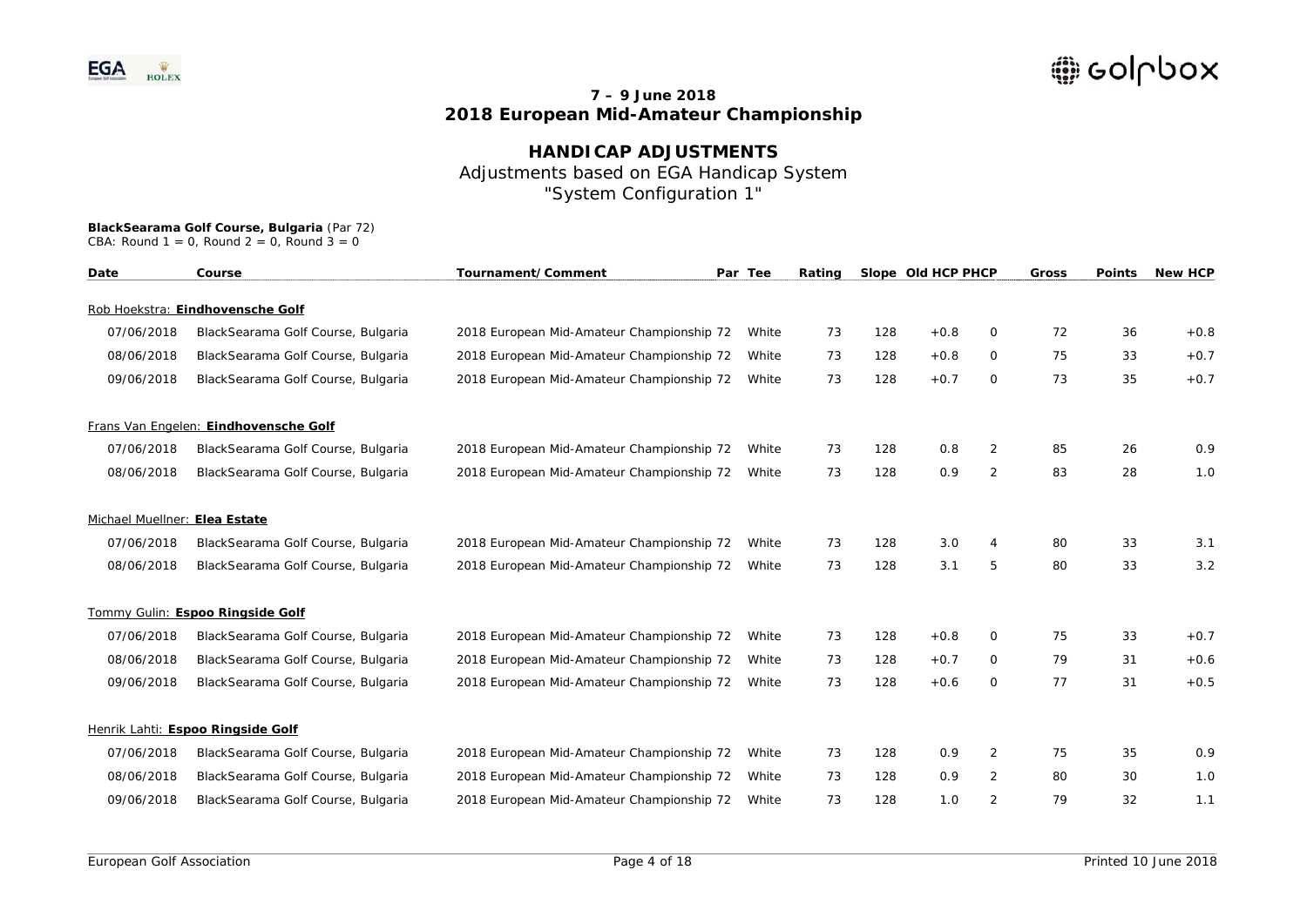**HANDICAP ADJUSTMENTS**  Adjustments based on EGA Handicap System "System Configuration 1"

| Date                          | Course                                | Tournament/Comment                        | Par Tee | Rating |     | Slope Old HCP PHCP |                | Gross | <b>Points</b> | <b>New HCP</b> |
|-------------------------------|---------------------------------------|-------------------------------------------|---------|--------|-----|--------------------|----------------|-------|---------------|----------------|
|                               | Rob Hoekstra: Eindhovensche Golf      |                                           |         |        |     |                    |                |       |               |                |
| 07/06/2018                    | BlackSearama Golf Course, Bulgaria    | 2018 European Mid-Amateur Championship 72 | White   | 73     | 128 | $+0.8$             | 0              | 72    | 36            | $+0.8$         |
| 08/06/2018                    | BlackSearama Golf Course, Bulgaria    | 2018 European Mid-Amateur Championship 72 | White   | 73     | 128 | $+0.8$             | 0              | 75    | 33            | $+0.7$         |
| 09/06/2018                    | BlackSearama Golf Course, Bulgaria    | 2018 European Mid-Amateur Championship 72 | White   | 73     | 128 | $+0.7$             | 0              | 73    | 35            | $+0.7$         |
|                               | Frans Van Engelen: Eindhovensche Golf |                                           |         |        |     |                    |                |       |               |                |
| 07/06/2018                    | BlackSearama Golf Course, Bulgaria    | 2018 European Mid-Amateur Championship 72 | White   | 73     | 128 | 0.8                | $\overline{2}$ | 85    | 26            | 0.9            |
| 08/06/2018                    | BlackSearama Golf Course, Bulgaria    | 2018 European Mid-Amateur Championship 72 | White   | 73     | 128 | 0.9                | 2              | 83    | 28            | 1.0            |
| Michael Muellner: Elea Estate |                                       |                                           |         |        |     |                    |                |       |               |                |
| 07/06/2018                    | BlackSearama Golf Course, Bulgaria    | 2018 European Mid-Amateur Championship 72 | White   | 73     | 128 | 3.0                | 4              | 80    | 33            | 3.1            |
| 08/06/2018                    | BlackSearama Golf Course, Bulgaria    | 2018 European Mid-Amateur Championship 72 | White   | 73     | 128 | 3.1                | 5              | 80    | 33            | 3.2            |
|                               | Tommy Gulin: Espoo Ringside Golf      |                                           |         |        |     |                    |                |       |               |                |
| 07/06/2018                    | BlackSearama Golf Course, Bulgaria    | 2018 European Mid-Amateur Championship 72 | White   | 73     | 128 | $+0.8$             | 0              | 75    | 33            | $+0.7$         |
| 08/06/2018                    | BlackSearama Golf Course, Bulgaria    | 2018 European Mid-Amateur Championship 72 | White   | 73     | 128 | $+0.7$             | 0              | 79    | 31            | $+0.6$         |
| 09/06/2018                    | BlackSearama Golf Course, Bulgaria    | 2018 European Mid-Amateur Championship 72 | White   | 73     | 128 | $+0.6$             | 0              | 77    | 31            | $+0.5$         |
|                               | Henrik Lahti: Espoo Ringside Golf     |                                           |         |        |     |                    |                |       |               |                |
| 07/06/2018                    | BlackSearama Golf Course, Bulgaria    | 2018 European Mid-Amateur Championship 72 | White   | 73     | 128 | 0.9                | 2              | 75    | 35            | 0.9            |
| 08/06/2018                    | BlackSearama Golf Course, Bulgaria    | 2018 European Mid-Amateur Championship 72 | White   | 73     | 128 | 0.9                | 2              | 80    | 30            | 1.0            |
| 09/06/2018                    | BlackSearama Golf Course, Bulgaria    | 2018 European Mid-Amateur Championship 72 | White   | 73     | 128 | 1.0                | $\overline{2}$ | 79    | 32            | 1.1            |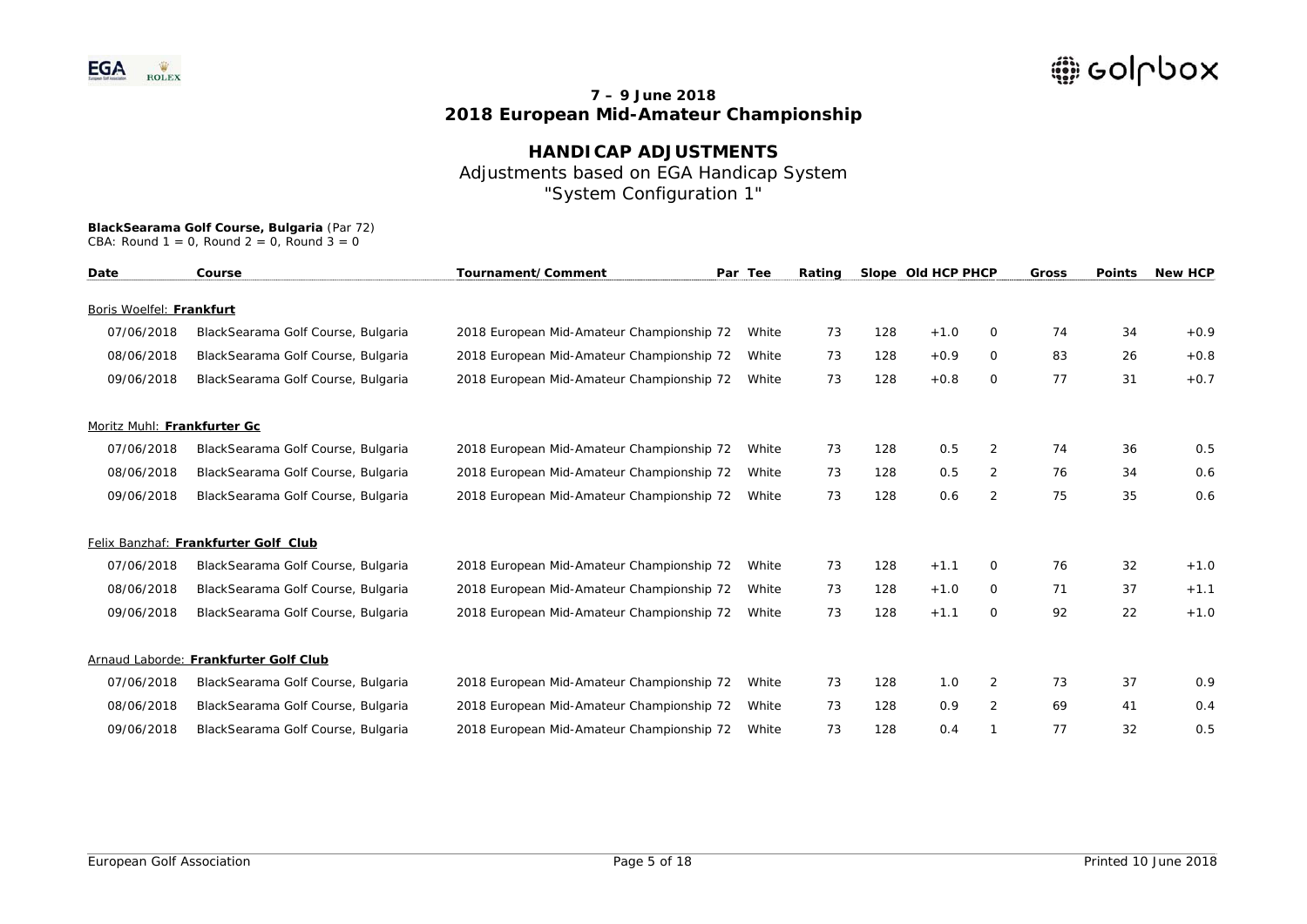## **HANDICAP ADJUSTMENTS**  Adjustments based on EGA Handicap System "System Configuration 1"

| Date                        | Tournament/Comment<br>Par Tee<br>Course |                                           | Rating |    |     |        | Slope Old HCP PHCP | <b>Gross</b> | <b>Points</b> | <b>New HCP</b> |
|-----------------------------|-----------------------------------------|-------------------------------------------|--------|----|-----|--------|--------------------|--------------|---------------|----------------|
| Boris Woelfel: Frankfurt    |                                         |                                           |        |    |     |        |                    |              |               |                |
| 07/06/2018                  |                                         |                                           | White  | 73 | 128 | $+1.0$ | 0                  | 74           | 34            | $+0.9$         |
|                             | BlackSearama Golf Course, Bulgaria      | 2018 European Mid-Amateur Championship 72 |        |    |     |        |                    |              |               |                |
| 08/06/2018                  | BlackSearama Golf Course, Bulgaria      | 2018 European Mid-Amateur Championship 72 | White  | 73 | 128 | $+0.9$ | 0                  | 83           | 26            | $+0.8$         |
| 09/06/2018                  | BlackSearama Golf Course, Bulgaria      | 2018 European Mid-Amateur Championship 72 | White  | 73 | 128 | $+0.8$ | 0                  | 77           | 31            | $+0.7$         |
| Moritz Muhl: Frankfurter Gc |                                         |                                           |        |    |     |        |                    |              |               |                |
| 07/06/2018                  | BlackSearama Golf Course, Bulgaria      | 2018 European Mid-Amateur Championship 72 | White  | 73 | 128 | 0.5    | 2                  | 74           | 36            | 0.5            |
| 08/06/2018                  | BlackSearama Golf Course, Bulgaria      | 2018 European Mid-Amateur Championship 72 | White  | 73 | 128 | 0.5    | 2                  | 76           | 34            | 0.6            |
| 09/06/2018                  | BlackSearama Golf Course, Bulgaria      | 2018 European Mid-Amateur Championship 72 | White  | 73 | 128 | 0.6    | $\overline{2}$     | 75           | 35            | 0.6            |
|                             | Felix Banzhaf: Frankfurter Golf Club    |                                           |        |    |     |        |                    |              |               |                |
| 07/06/2018                  | BlackSearama Golf Course, Bulgaria      | 2018 European Mid-Amateur Championship 72 | White  | 73 | 128 | $+1.1$ | $\Omega$           | 76           | 32            | $+1.0$         |
| 08/06/2018                  | BlackSearama Golf Course, Bulgaria      | 2018 European Mid-Amateur Championship 72 | White  | 73 | 128 | $+1.0$ | 0                  | 71           | 37            | $+1.1$         |
| 09/06/2018                  | BlackSearama Golf Course, Bulgaria      | 2018 European Mid-Amateur Championship 72 | White  | 73 | 128 | $+1.1$ | $\Omega$           | 92           | 22            | $+1.0$         |
|                             | Arnaud Laborde: Frankfurter Golf Club   |                                           |        |    |     |        |                    |              |               |                |
| 07/06/2018                  | BlackSearama Golf Course, Bulgaria      | 2018 European Mid-Amateur Championship 72 | White  | 73 | 128 | 1.0    | 2                  | 73           | 37            | 0.9            |
| 08/06/2018                  | BlackSearama Golf Course, Bulgaria      | 2018 European Mid-Amateur Championship 72 | White  | 73 | 128 | 0.9    | $\overline{2}$     | 69           | 41            | 0.4            |
| 09/06/2018                  | BlackSearama Golf Course, Bulgaria      | 2018 European Mid-Amateur Championship 72 | White  | 73 | 128 | 0.4    |                    | 77           | 32            | 0.5            |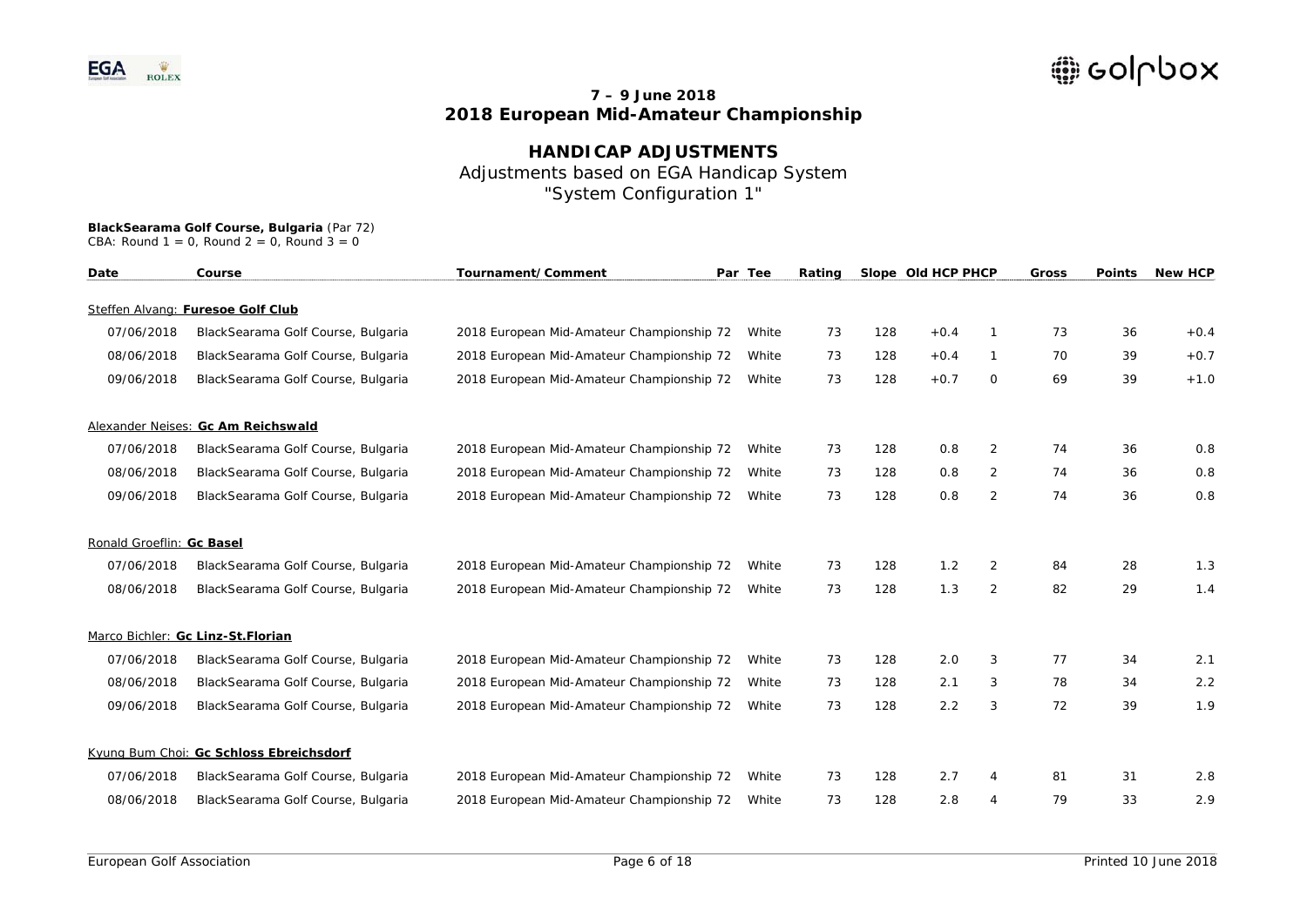## **HANDICAP ADJUSTMENTS**  Adjustments based on EGA Handicap System "System Configuration 1"

| Date                      | Course                                  | Tournament/Comment<br>Par Tee<br>Rating<br>Slope Old HCP PHCP |       | Gross | <b>Points</b> | <b>New HCP</b> |                |    |    |        |
|---------------------------|-----------------------------------------|---------------------------------------------------------------|-------|-------|---------------|----------------|----------------|----|----|--------|
|                           | Steffen Alvang: Furesoe Golf Club       |                                                               |       |       |               |                |                |    |    |        |
| 07/06/2018                | BlackSearama Golf Course, Bulgaria      | 2018 European Mid-Amateur Championship 72                     | White | 73    | 128           | $+0.4$         |                | 73 | 36 | $+0.4$ |
| 08/06/2018                | BlackSearama Golf Course, Bulgaria      | 2018 European Mid-Amateur Championship 72                     | White | 73    | 128           | $+0.4$         | 1              | 70 | 39 | $+0.7$ |
| 09/06/2018                | BlackSearama Golf Course, Bulgaria      | 2018 European Mid-Amateur Championship 72                     | White | 73    | 128           | $+0.7$         | 0              | 69 | 39 | $+1.0$ |
|                           | Alexander Neises: Gc Am Reichswald      |                                                               |       |       |               |                |                |    |    |        |
| 07/06/2018                | BlackSearama Golf Course, Bulgaria      | 2018 European Mid-Amateur Championship 72                     | White | 73    | 128           | 0.8            | 2              | 74 | 36 | 0.8    |
| 08/06/2018                | BlackSearama Golf Course, Bulgaria      | 2018 European Mid-Amateur Championship 72                     | White | 73    | 128           | 0.8            | 2              | 74 | 36 | 0.8    |
| 09/06/2018                | BlackSearama Golf Course, Bulgaria      | 2018 European Mid-Amateur Championship 72                     | White | 73    | 128           | 0.8            | $\overline{2}$ | 74 | 36 | 0.8    |
| Ronald Groeflin: Gc Basel |                                         |                                                               |       |       |               |                |                |    |    |        |
| 07/06/2018                | BlackSearama Golf Course, Bulgaria      | 2018 European Mid-Amateur Championship 72                     | White | 73    | 128           | 1.2            | 2              | 84 | 28 | 1.3    |
| 08/06/2018                | BlackSearama Golf Course, Bulgaria      | 2018 European Mid-Amateur Championship 72                     | White | 73    | 128           | 1.3            | 2              | 82 | 29 | 1.4    |
|                           | Marco Bichler: Gc Linz-St.Florian       |                                                               |       |       |               |                |                |    |    |        |
| 07/06/2018                | BlackSearama Golf Course, Bulgaria      | 2018 European Mid-Amateur Championship 72                     | White | 73    | 128           | 2.0            | 3              | 77 | 34 | 2.1    |
| 08/06/2018                | BlackSearama Golf Course, Bulgaria      | 2018 European Mid-Amateur Championship 72                     | White | 73    | 128           | 2.1            | 3              | 78 | 34 | 2.2    |
| 09/06/2018                | BlackSearama Golf Course, Bulgaria      | 2018 European Mid-Amateur Championship 72                     | White | 73    | 128           | 2.2            | 3              | 72 | 39 | 1.9    |
|                           | Kyung Bum Choi: Gc Schloss Ebreichsdorf |                                                               |       |       |               |                |                |    |    |        |
| 07/06/2018                | BlackSearama Golf Course, Bulgaria      | 2018 European Mid-Amateur Championship 72                     | White | 73    | 128           | 2.7            | 4              | 81 | 31 | 2.8    |
| 08/06/2018                | BlackSearama Golf Course, Bulgaria      | 2018 European Mid-Amateur Championship 72                     | White | 73    | 128           | 2.8            |                | 79 | 33 | 2.9    |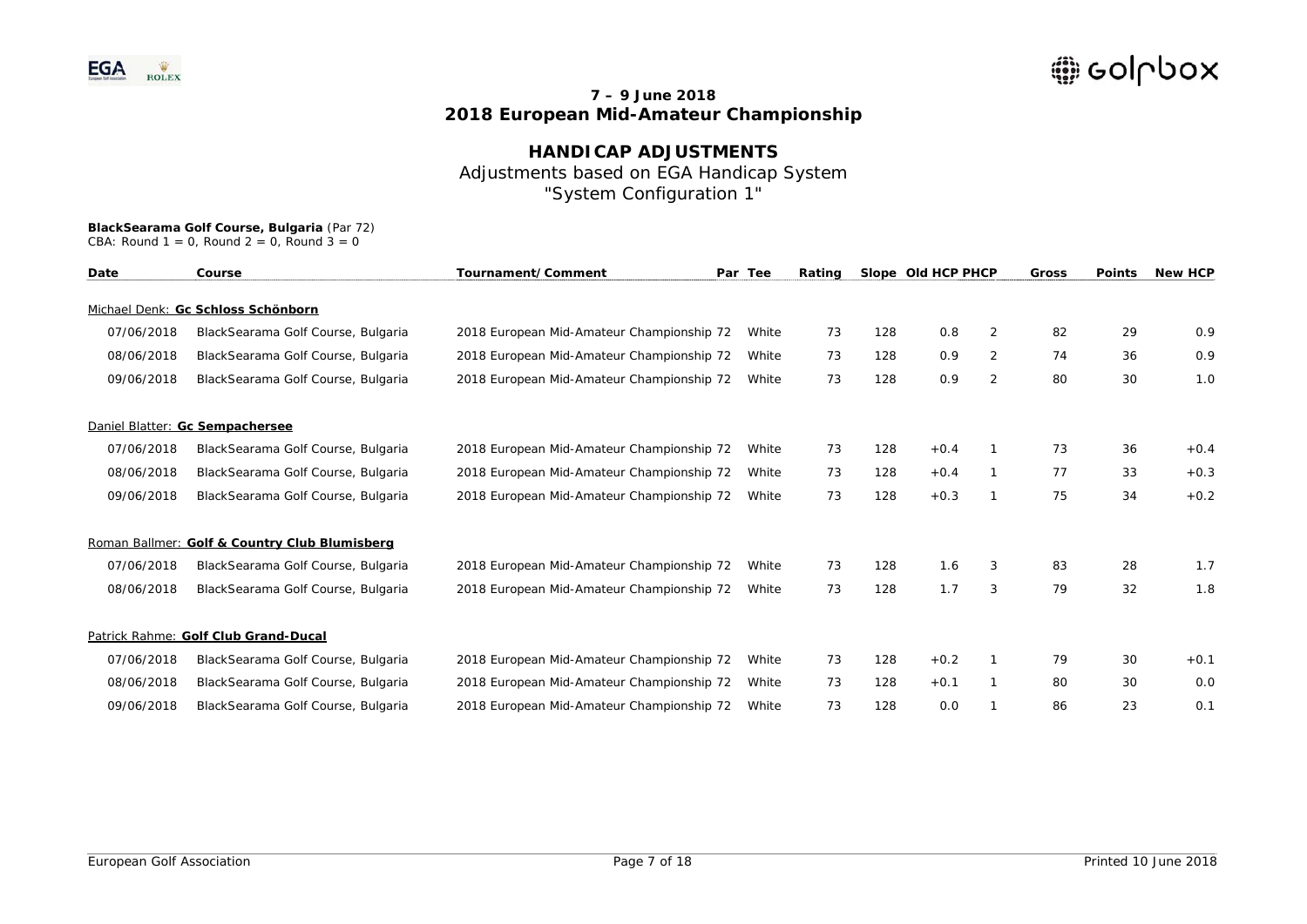# **HANDICAP ADJUSTMENTS** Adjustments based on EGA Handicap System "System Configuration 1"

# **BlackSearama Golf Course, Bulgaria** (Par 72)

| CBA: Round $1 = 0$ , Round $2 = 0$ , Round $3 = 0$ |  |  |  |  |  |  |  |
|----------------------------------------------------|--|--|--|--|--|--|--|
|----------------------------------------------------|--|--|--|--|--|--|--|

| Date       | Course                                        | Tournament/Comment                        | Par Tee | Rating |     | Slope Old HCP PHCP |                | Gross | <b>Points</b> | <b>New HCP</b> |
|------------|-----------------------------------------------|-------------------------------------------|---------|--------|-----|--------------------|----------------|-------|---------------|----------------|
|            | Michael Denk: Gc Schloss Schönborn            |                                           |         |        |     |                    |                |       |               |                |
| 07/06/2018 | BlackSearama Golf Course, Bulgaria            | 2018 European Mid-Amateur Championship 72 | White   | 73     | 128 | 0.8                | 2              | 82    | 29            | 0.9            |
| 08/06/2018 | BlackSearama Golf Course, Bulgaria            | 2018 European Mid-Amateur Championship 72 | White   | 73     | 128 | 0.9                | 2              | 74    | 36            | 0.9            |
| 09/06/2018 | BlackSearama Golf Course, Bulgaria            | 2018 European Mid-Amateur Championship 72 | White   | 73     | 128 | 0.9                | $\overline{2}$ | 80    | 30            | 1.0            |
|            | Daniel Blatter: Gc Sempachersee               |                                           |         |        |     |                    |                |       |               |                |
| 07/06/2018 | BlackSearama Golf Course, Bulgaria            | 2018 European Mid-Amateur Championship 72 | White   | 73     | 128 | $+0.4$             |                | 73    | 36            | $+0.4$         |
| 08/06/2018 | BlackSearama Golf Course, Bulgaria            | 2018 European Mid-Amateur Championship 72 | White   | 73     | 128 | $+0.4$             |                | 77    | 33            | $+0.3$         |
| 09/06/2018 | BlackSearama Golf Course, Bulgaria            | 2018 European Mid-Amateur Championship 72 | White   | 73     | 128 | $+0.3$             |                | 75    | 34            | $+0.2$         |
|            | Roman Ballmer: Golf & Country Club Blumisberg |                                           |         |        |     |                    |                |       |               |                |
| 07/06/2018 | BlackSearama Golf Course, Bulgaria            | 2018 European Mid-Amateur Championship 72 | White   | 73     | 128 | 1.6                | 3              | 83    | 28            | 1.7            |
| 08/06/2018 | BlackSearama Golf Course, Bulgaria            | 2018 European Mid-Amateur Championship 72 | White   | 73     | 128 | 1.7                | 3              | 79    | 32            | 1.8            |
|            | Patrick Rahme: Golf Club Grand-Ducal          |                                           |         |        |     |                    |                |       |               |                |
| 07/06/2018 | BlackSearama Golf Course, Bulgaria            | 2018 European Mid-Amateur Championship 72 | White   | 73     | 128 | $+0.2$             |                | 79    | 30            | $+0.1$         |
| 08/06/2018 | BlackSearama Golf Course, Bulgaria            | 2018 European Mid-Amateur Championship 72 | White   | 73     | 128 | $+0.1$             |                | 80    | 30            | 0.0            |
| 09/06/2018 | BlackSearama Golf Course, Bulgaria            | 2018 European Mid-Amateur Championship 72 | White   | 73     | 128 | 0.0                |                | 86    | 23            | 0.1            |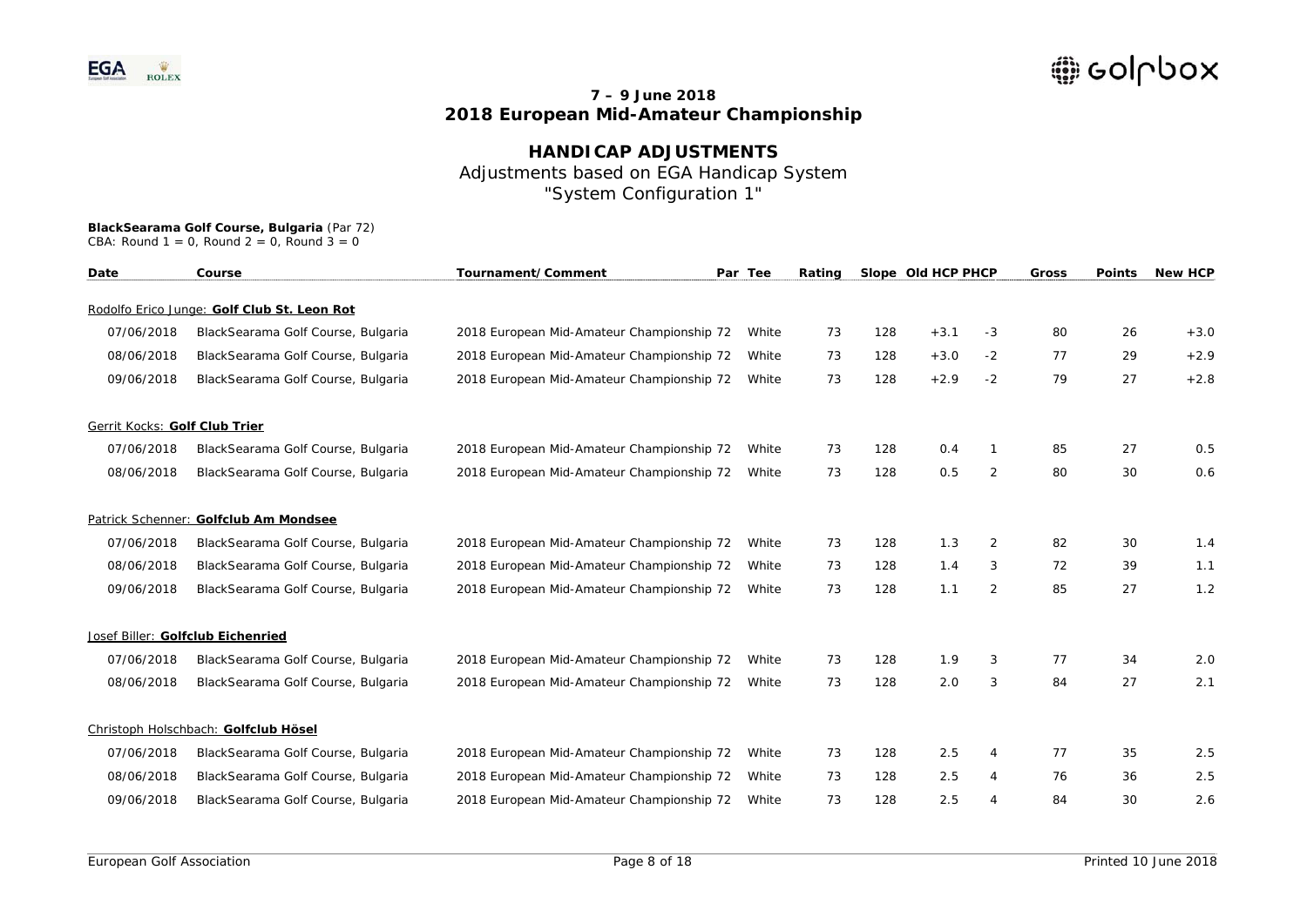**HANDICAP ADJUSTMENTS**  Adjustments based on EGA Handicap System "System Configuration 1"

| Date                          | Course                                      | Tournament/Comment                        | Par Tee | Rating |     | Slope Old HCP PHCP |      | Gross | <b>Points</b> | <b>New HCP</b> |
|-------------------------------|---------------------------------------------|-------------------------------------------|---------|--------|-----|--------------------|------|-------|---------------|----------------|
|                               | Rodolfo Erico Junge: Golf Club St. Leon Rot |                                           |         |        |     |                    |      |       |               |                |
| 07/06/2018                    | BlackSearama Golf Course, Bulgaria          | 2018 European Mid-Amateur Championship 72 | White   | 73     | 128 | $+3.1$             | $-3$ | 80    | 26            | $+3.0$         |
| 08/06/2018                    | BlackSearama Golf Course, Bulgaria          | 2018 European Mid-Amateur Championship 72 | White   | 73     | 128 | $+3.0$             | $-2$ | 77    | 29            | $+2.9$         |
| 09/06/2018                    | BlackSearama Golf Course, Bulgaria          | 2018 European Mid-Amateur Championship 72 | White   | 73     | 128 | $+2.9$             | $-2$ | 79    | 27            | $+2.8$         |
| Gerrit Kocks: Golf Club Trier |                                             |                                           |         |        |     |                    |      |       |               |                |
| 07/06/2018                    | BlackSearama Golf Course, Bulgaria          | 2018 European Mid-Amateur Championship 72 | White   | 73     | 128 | 0.4                |      | 85    | 27            | 0.5            |
| 08/06/2018                    | BlackSearama Golf Course, Bulgaria          | 2018 European Mid-Amateur Championship 72 | White   | 73     | 128 | 0.5                | 2    | 80    | 30            | 0.6            |
|                               | Patrick Schenner: Golfclub Am Mondsee       |                                           |         |        |     |                    |      |       |               |                |
| 07/06/2018                    | BlackSearama Golf Course, Bulgaria          | 2018 European Mid-Amateur Championship 72 | White   | 73     | 128 | 1.3                | 2    | 82    | 30            | 1.4            |
| 08/06/2018                    | BlackSearama Golf Course, Bulgaria          | 2018 European Mid-Amateur Championship 72 | White   | 73     | 128 | 1.4                | 3    | 72    | 39            | 1.1            |
| 09/06/2018                    | BlackSearama Golf Course, Bulgaria          | 2018 European Mid-Amateur Championship 72 | White   | 73     | 128 | 1.1                | 2    | 85    | 27            | 1.2            |
|                               | Josef Biller: Golfclub Eichenried           |                                           |         |        |     |                    |      |       |               |                |
| 07/06/2018                    | BlackSearama Golf Course, Bulgaria          | 2018 European Mid-Amateur Championship 72 | White   | 73     | 128 | 1.9                | 3    | 77    | 34            | 2.0            |
| 08/06/2018                    | BlackSearama Golf Course, Bulgaria          | 2018 European Mid-Amateur Championship 72 | White   | 73     | 128 | 2.0                | 3    | 84    | 27            | 2.1            |
|                               | Christoph Holschbach: Golfclub Hösel        |                                           |         |        |     |                    |      |       |               |                |
| 07/06/2018                    | BlackSearama Golf Course, Bulgaria          | 2018 European Mid-Amateur Championship 72 | White   | 73     | 128 | 2.5                | 4    | 77    | 35            | 2.5            |
| 08/06/2018                    | BlackSearama Golf Course, Bulgaria          | 2018 European Mid-Amateur Championship 72 | White   | 73     | 128 | 2.5                | 4    | 76    | 36            | 2.5            |
| 09/06/2018                    | BlackSearama Golf Course, Bulgaria          | 2018 European Mid-Amateur Championship 72 | White   | 73     | 128 | 2.5                | 4    | 84    | 30            | 2.6            |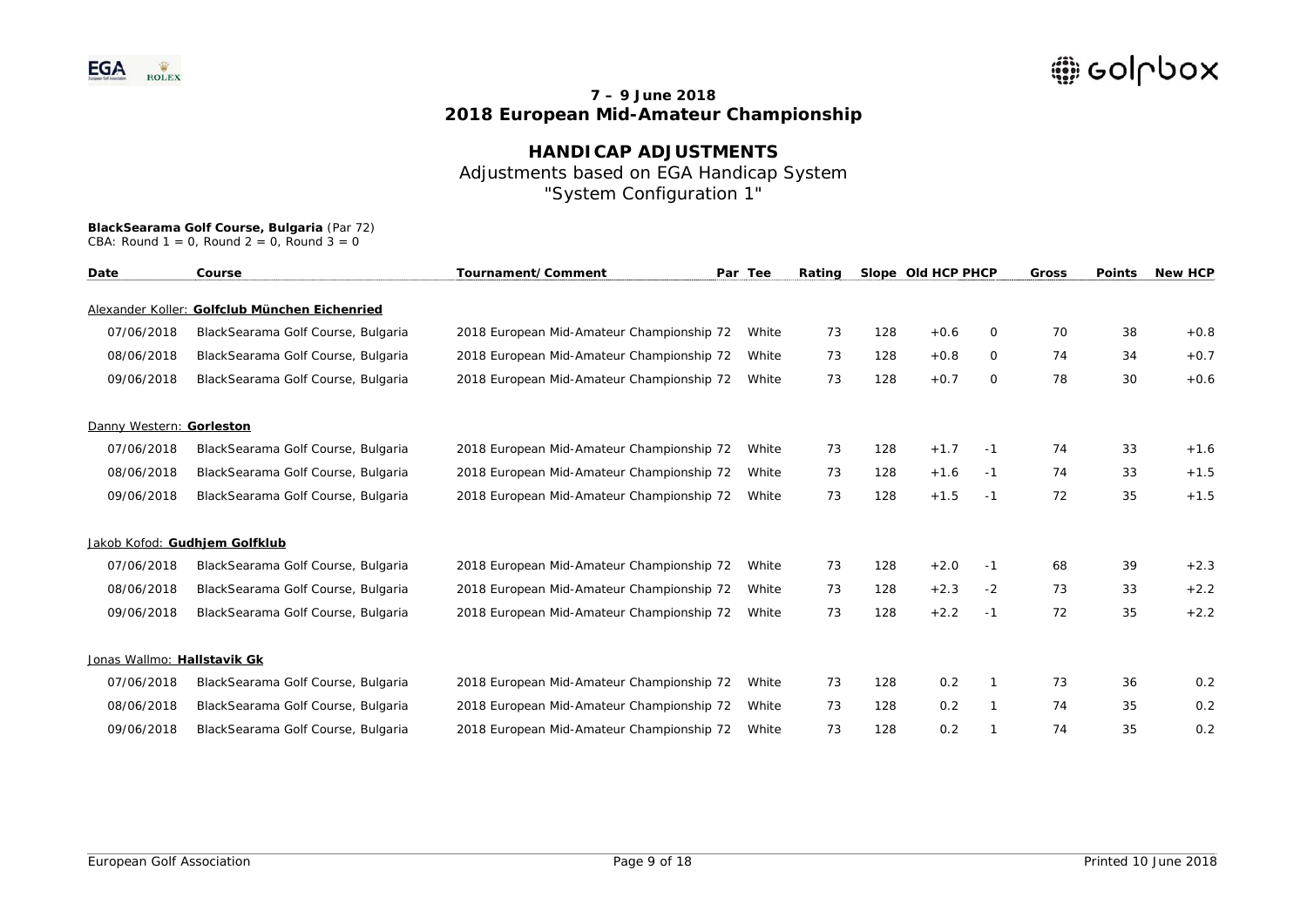# **HANDICAP ADJUSTMENTS** Adjustments based on EGA Handicap System "System Configuration 1"

| Date                        | Course                                        | Tournament/Comment<br>Par Tee             | Rating | Slope Old HCP PHCP |     |        | <b>Gross</b> | <b>Points</b> | <b>New HCP</b> |        |
|-----------------------------|-----------------------------------------------|-------------------------------------------|--------|--------------------|-----|--------|--------------|---------------|----------------|--------|
|                             | Alexander Koller: Golfclub München Eichenried |                                           |        |                    |     |        |              |               |                |        |
| 07/06/2018                  | BlackSearama Golf Course, Bulgaria            | 2018 European Mid-Amateur Championship 72 | White  | 73                 | 128 | $+0.6$ | 0            | 70            | 38             | $+0.8$ |
| 08/06/2018                  | BlackSearama Golf Course, Bulgaria            | 2018 European Mid-Amateur Championship 72 | White  | 73                 | 128 | $+0.8$ | 0            | 74            | 34             | $+0.7$ |
| 09/06/2018                  | BlackSearama Golf Course, Bulgaria            | 2018 European Mid-Amateur Championship 72 | White  | 73                 | 128 | $+0.7$ | 0            | 78            | 30             | $+0.6$ |
| Danny Western: Gorleston    |                                               |                                           |        |                    |     |        |              |               |                |        |
| 07/06/2018                  | BlackSearama Golf Course, Bulgaria            | 2018 European Mid-Amateur Championship 72 | White  | 73                 | 128 | $+1.7$ | -1           | 74            | 33             | $+1.6$ |
| 08/06/2018                  | BlackSearama Golf Course, Bulgaria            | 2018 European Mid-Amateur Championship 72 | White  | 73                 | 128 | $+1.6$ | -1           | 74            | 33             | $+1.5$ |
| 09/06/2018                  | BlackSearama Golf Course, Bulgaria            | 2018 European Mid-Amateur Championship 72 | White  | 73                 | 128 | $+1.5$ | $-1$         | 72            | 35             | $+1.5$ |
|                             | Jakob Kofod: Gudhjem Golfklub                 |                                           |        |                    |     |        |              |               |                |        |
| 07/06/2018                  | BlackSearama Golf Course, Bulgaria            | 2018 European Mid-Amateur Championship 72 | White  | 73                 | 128 | $+2.0$ | -1           | 68            | 39             | $+2.3$ |
| 08/06/2018                  | BlackSearama Golf Course, Bulgaria            | 2018 European Mid-Amateur Championship 72 | White  | 73                 | 128 | $+2.3$ | $-2$         | 73            | 33             | $+2.2$ |
| 09/06/2018                  | BlackSearama Golf Course, Bulgaria            | 2018 European Mid-Amateur Championship 72 | White  | 73                 | 128 | $+2.2$ | $-1$         | 72            | 35             | $+2.2$ |
| Jonas Wallmo: Hallstavik Gk |                                               |                                           |        |                    |     |        |              |               |                |        |
| 07/06/2018                  | BlackSearama Golf Course, Bulgaria            | 2018 European Mid-Amateur Championship 72 | White  | 73                 | 128 | 0.2    |              | 73            | 36             | 0.2    |
| 08/06/2018                  | BlackSearama Golf Course, Bulgaria            | 2018 European Mid-Amateur Championship 72 | White  | 73                 | 128 | 0.2    | 1            | 74            | 35             | 0.2    |
| 09/06/2018                  | BlackSearama Golf Course, Bulgaria            | 2018 European Mid-Amateur Championship 72 | White  | 73                 | 128 | 0.2    |              | 74            | 35             | 0.2    |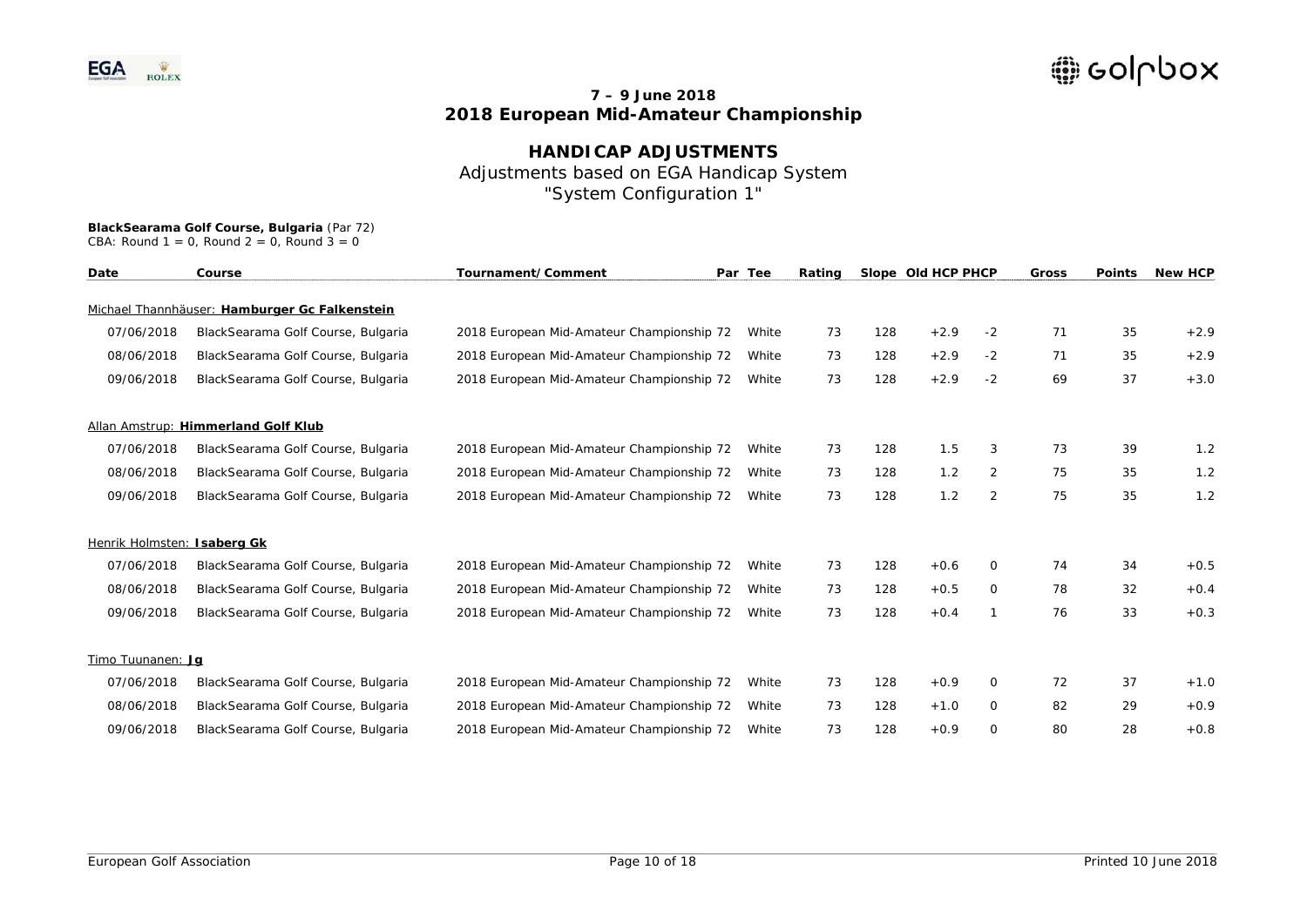# **HANDICAP ADJUSTMENTS** Adjustments based on EGA Handicap System "System Configuration 1"

| Date                        | Course                                        | Tournament/Comment                        | Par Tee<br>Rating | Slope Old HCP PHCP |     | <b>Gross</b> | <b>Points</b> | <b>New HCP</b> |    |        |
|-----------------------------|-----------------------------------------------|-------------------------------------------|-------------------|--------------------|-----|--------------|---------------|----------------|----|--------|
|                             | Michael Thannhäuser: Hamburger Gc Falkenstein |                                           |                   |                    |     |              |               |                |    |        |
| 07/06/2018                  | BlackSearama Golf Course, Bulgaria            | 2018 European Mid-Amateur Championship 72 | White             | 73                 | 128 | $+2.9$       | $-2$          | 71             | 35 | $+2.9$ |
| 08/06/2018                  | BlackSearama Golf Course, Bulgaria            | 2018 European Mid-Amateur Championship 72 | White             | 73                 | 128 | $+2.9$       | $-2$          | 71             | 35 | $+2.9$ |
| 09/06/2018                  | BlackSearama Golf Course, Bulgaria            | 2018 European Mid-Amateur Championship 72 | White             | 73                 | 128 | $+2.9$       | $-2$          | 69             | 37 | $+3.0$ |
|                             | Allan Amstrup: Himmerland Golf Klub           |                                           |                   |                    |     |              |               |                |    |        |
| 07/06/2018                  | BlackSearama Golf Course, Bulgaria            | 2018 European Mid-Amateur Championship 72 | White             | 73                 | 128 | 1.5          | 3             | 73             | 39 | 1.2    |
| 08/06/2018                  | BlackSearama Golf Course, Bulgaria            | 2018 European Mid-Amateur Championship 72 | White             | 73                 | 128 | 1.2          | 2             | 75             | 35 | 1.2    |
| 09/06/2018                  | BlackSearama Golf Course, Bulgaria            | 2018 European Mid-Amateur Championship 72 | White             | 73                 | 128 | 1.2          | 2             | 75             | 35 | 1.2    |
| Henrik Holmsten: Isaberg Gk |                                               |                                           |                   |                    |     |              |               |                |    |        |
| 07/06/2018                  | BlackSearama Golf Course, Bulgaria            | 2018 European Mid-Amateur Championship 72 | White             | 73                 | 128 | $+0.6$       | 0             | 74             | 34 | $+0.5$ |
| 08/06/2018                  | BlackSearama Golf Course, Bulgaria            | 2018 European Mid-Amateur Championship 72 | White             | 73                 | 128 | $+0.5$       | 0             | 78             | 32 | $+0.4$ |
| 09/06/2018                  | BlackSearama Golf Course, Bulgaria            | 2018 European Mid-Amateur Championship 72 | White             | 73                 | 128 | $+0.4$       |               | 76             | 33 | $+0.3$ |
| Timo Tuunanen: Jg           |                                               |                                           |                   |                    |     |              |               |                |    |        |
| 07/06/2018                  | BlackSearama Golf Course, Bulgaria            | 2018 European Mid-Amateur Championship 72 | White             | 73                 | 128 | $+0.9$       | 0             | 72             | 37 | $+1.0$ |
| 08/06/2018                  | BlackSearama Golf Course, Bulgaria            | 2018 European Mid-Amateur Championship 72 | White             | 73                 | 128 | $+1.0$       | 0             | 82             | 29 | $+0.9$ |
| 09/06/2018                  | BlackSearama Golf Course, Bulgaria            | 2018 European Mid-Amateur Championship 72 | White             | 73                 | 128 | $+0.9$       | 0             | 80             | 28 | $+0.8$ |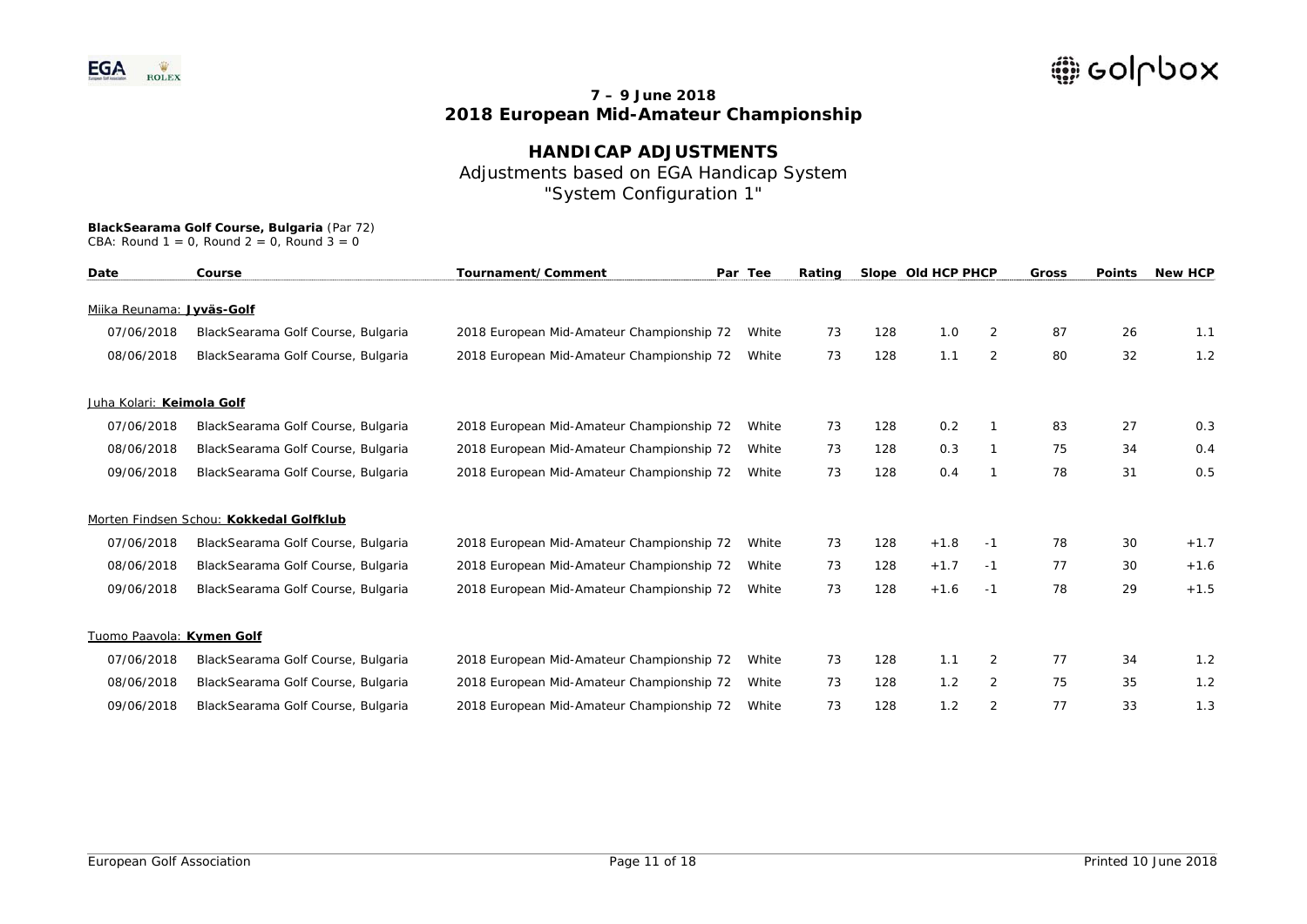## **HANDICAP ADJUSTMENTS**  Adjustments based on EGA Handicap System "System Configuration 1"

| Date                      | Course                                  | Tournament/Comment                        | Par Tee<br>Rating |    | Slope Old HCP PHCP |        | Gross | <b>Points</b> | <b>New HCP</b> |        |
|---------------------------|-----------------------------------------|-------------------------------------------|-------------------|----|--------------------|--------|-------|---------------|----------------|--------|
|                           |                                         |                                           |                   |    |                    |        |       |               |                |        |
| Miika Reunama: Jyväs-Golf |                                         |                                           |                   |    |                    |        |       |               |                |        |
| 07/06/2018                | BlackSearama Golf Course, Bulgaria      | 2018 European Mid-Amateur Championship 72 | White             | 73 | 128                | 1.0    | 2     | 87            | 26             | 1.1    |
| 08/06/2018                | BlackSearama Golf Course, Bulgaria      | 2018 European Mid-Amateur Championship 72 | White             | 73 | 128                | 1.1    | 2     | 80            | 32             | 1.2    |
| Juha Kolari: Keimola Golf |                                         |                                           |                   |    |                    |        |       |               |                |        |
| 07/06/2018                | BlackSearama Golf Course, Bulgaria      | 2018 European Mid-Amateur Championship 72 | White             | 73 | 128                | 0.2    |       | 83            | 27             | 0.3    |
| 08/06/2018                | BlackSearama Golf Course, Bulgaria      | 2018 European Mid-Amateur Championship 72 | White             | 73 | 128                | 0.3    |       | 75            | 34             | 0.4    |
| 09/06/2018                | BlackSearama Golf Course, Bulgaria      | 2018 European Mid-Amateur Championship 72 | White             | 73 | 128                | 0.4    |       | 78            | 31             | 0.5    |
|                           | Morten Findsen Schou: Kokkedal Golfklub |                                           |                   |    |                    |        |       |               |                |        |
| 07/06/2018                | BlackSearama Golf Course, Bulgaria      | 2018 European Mid-Amateur Championship 72 | White             | 73 | 128                | $+1.8$ | $-1$  | 78            | 30             | $+1.7$ |
| 08/06/2018                | BlackSearama Golf Course, Bulgaria      | 2018 European Mid-Amateur Championship 72 | White             | 73 | 128                | $+1.7$ | -1    | 77            | 30             | $+1.6$ |
| 09/06/2018                | BlackSearama Golf Course, Bulgaria      | 2018 European Mid-Amateur Championship 72 | White             | 73 | 128                | $+1.6$ | $-1$  | 78            | 29             | $+1.5$ |
| Tuomo Paavola: Kymen Golf |                                         |                                           |                   |    |                    |        |       |               |                |        |
| 07/06/2018                | BlackSearama Golf Course, Bulgaria      | 2018 European Mid-Amateur Championship 72 | White             | 73 | 128                | 1.1    | 2     | 77            | 34             | 1.2    |
| 08/06/2018                | BlackSearama Golf Course, Bulgaria      | 2018 European Mid-Amateur Championship 72 | White             | 73 | 128                | 1.2    | 2     | 75            | 35             | 1.2    |
| 09/06/2018                | BlackSearama Golf Course, Bulgaria      | 2018 European Mid-Amateur Championship 72 | White             | 73 | 128                | 1.2    | 2     | 77            | 33             | 1.3    |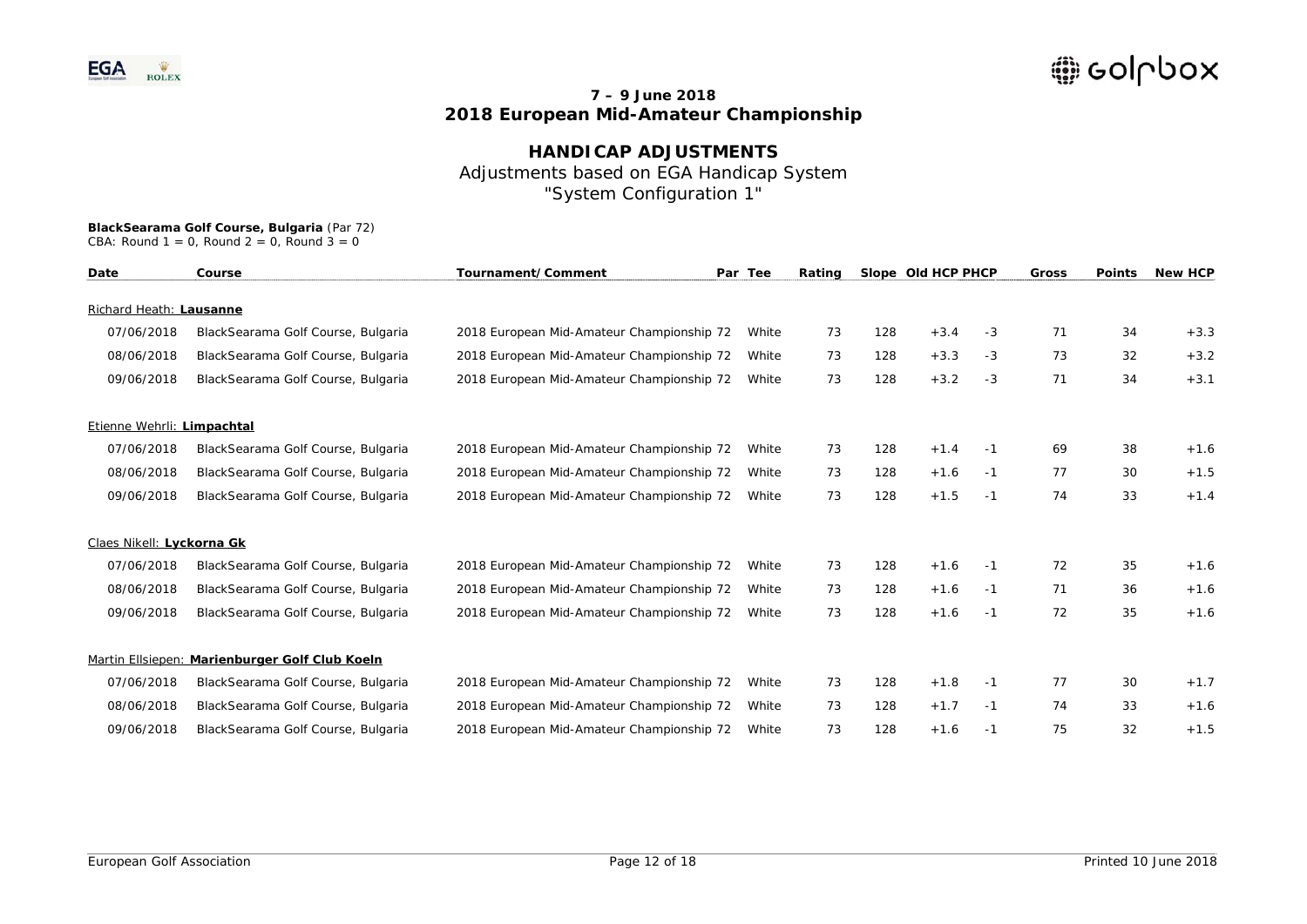## **HANDICAP ADJUSTMENTS**  Adjustments based on EGA Handicap System "System Configuration 1"

| Tournament/Comment<br>Date<br>Course |                                                | Par Tee                                   | Rating |    | Slope Old HCP PHCP |        | <b>Gross</b> | <b>Points</b> | <b>New HCP</b> |        |
|--------------------------------------|------------------------------------------------|-------------------------------------------|--------|----|--------------------|--------|--------------|---------------|----------------|--------|
| Richard Heath: Lausanne              |                                                |                                           |        |    |                    |        |              |               |                |        |
| 07/06/2018                           | BlackSearama Golf Course, Bulgaria             | 2018 European Mid-Amateur Championship 72 | White  | 73 | 128                | $+3.4$ | -3           | 71            | 34             | $+3.3$ |
| 08/06/2018                           | BlackSearama Golf Course, Bulgaria             | 2018 European Mid-Amateur Championship 72 | White  | 73 | 128                | $+3.3$ | $-3$         | 73            | 32             | $+3.2$ |
| 09/06/2018                           | BlackSearama Golf Course, Bulgaria             | 2018 European Mid-Amateur Championship 72 | White  | 73 | 128                | $+3.2$ | $-3$         | 71            | 34             | $+3.1$ |
| Etienne Wehrli: Limpachtal           |                                                |                                           |        |    |                    |        |              |               |                |        |
| 07/06/2018                           | BlackSearama Golf Course, Bulgaria             | 2018 European Mid-Amateur Championship 72 | White  | 73 | 128                | $+1.4$ | -1           | 69            | 38             | $+1.6$ |
| 08/06/2018                           | BlackSearama Golf Course, Bulgaria             | 2018 European Mid-Amateur Championship 72 | White  | 73 | 128                | $+1.6$ | -1           | 77            | 30             | $+1.5$ |
| 09/06/2018                           | BlackSearama Golf Course, Bulgaria             | 2018 European Mid-Amateur Championship 72 | White  | 73 | 128                | $+1.5$ | -1           | 74            | 33             | $+1.4$ |
| Claes Nikell: Lyckorna Gk            |                                                |                                           |        |    |                    |        |              |               |                |        |
| 07/06/2018                           | BlackSearama Golf Course, Bulgaria             | 2018 European Mid-Amateur Championship 72 | White  | 73 | 128                | $+1.6$ | -1           | 72            | 35             | $+1.6$ |
| 08/06/2018                           | BlackSearama Golf Course, Bulgaria             | 2018 European Mid-Amateur Championship 72 | White  | 73 | 128                | $+1.6$ | -1           | 71            | 36             | $+1.6$ |
| 09/06/2018                           | BlackSearama Golf Course, Bulgaria             | 2018 European Mid-Amateur Championship 72 | White  | 73 | 128                | $+1.6$ | -1           | 72            | 35             | $+1.6$ |
|                                      | Martin Ellsiepen: Marienburger Golf Club Koeln |                                           |        |    |                    |        |              |               |                |        |
| 07/06/2018                           | BlackSearama Golf Course, Bulgaria             | 2018 European Mid-Amateur Championship 72 | White  | 73 | 128                | $+1.8$ | -1           | 77            | 30             | $+1.7$ |
| 08/06/2018                           | BlackSearama Golf Course, Bulgaria             | 2018 European Mid-Amateur Championship 72 | White  | 73 | 128                | $+1.7$ | -1           | 74            | 33             | $+1.6$ |
| 09/06/2018                           | BlackSearama Golf Course, Bulgaria             | 2018 European Mid-Amateur Championship 72 | White  | 73 | 128                | $+1.6$ | -1           | 75            | 32             | $+1.5$ |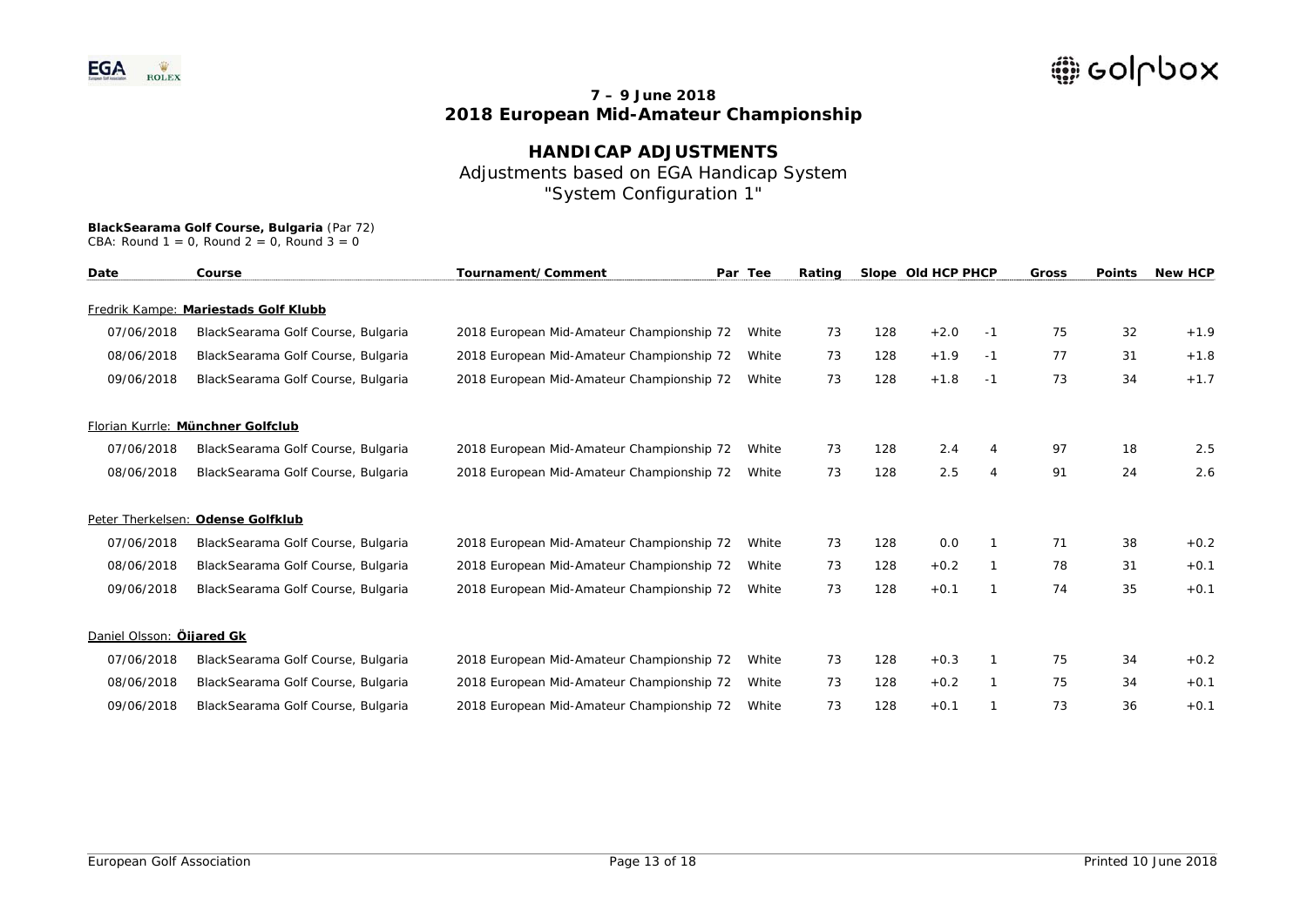# **HANDICAP ADJUSTMENTS** Adjustments based on EGA Handicap System "System Configuration 1"

| Date                      | Course                               | Tournament/Comment<br>Par Tee             |       | Rating |     | Slope Old HCP PHCP |                | <b>Gross</b> | <b>Points</b> | <b>New HCP</b> |
|---------------------------|--------------------------------------|-------------------------------------------|-------|--------|-----|--------------------|----------------|--------------|---------------|----------------|
|                           | Fredrik Kampe: Mariestads Golf Klubb |                                           |       |        |     |                    |                |              |               |                |
| 07/06/2018                | BlackSearama Golf Course, Bulgaria   | 2018 European Mid-Amateur Championship 72 | White | 73     | 128 | $+2.0$             | -1             | 75           | 32            | $+1.9$         |
| 08/06/2018                | BlackSearama Golf Course, Bulgaria   | 2018 European Mid-Amateur Championship 72 | White | 73     | 128 | $+1.9$             | -1             | 77           | 31            | $+1.8$         |
| 09/06/2018                | BlackSearama Golf Course, Bulgaria   | 2018 European Mid-Amateur Championship 72 | White | 73     | 128 | $+1.8$             | -1             | 73           | 34            | $+1.7$         |
|                           | Florian Kurrle: Münchner Golfclub    |                                           |       |        |     |                    |                |              |               |                |
| 07/06/2018                | BlackSearama Golf Course, Bulgaria   | 2018 European Mid-Amateur Championship 72 | White | 73     | 128 | 2.4                | 4              | 97           | 18            | 2.5            |
| 08/06/2018                | BlackSearama Golf Course, Bulgaria   | 2018 European Mid-Amateur Championship 72 | White | 73     | 128 | 2.5                | $\overline{4}$ | 91           | 24            | 2.6            |
|                           | Peter Therkelsen: Odense Golfklub    |                                           |       |        |     |                    |                |              |               |                |
| 07/06/2018                | BlackSearama Golf Course, Bulgaria   | 2018 European Mid-Amateur Championship 72 | White | 73     | 128 | 0.0                |                | 71           | 38            | $+0.2$         |
| 08/06/2018                | BlackSearama Golf Course, Bulgaria   | 2018 European Mid-Amateur Championship 72 | White | 73     | 128 | $+0.2$             |                | 78           | 31            | $+0.1$         |
| 09/06/2018                | BlackSearama Golf Course, Bulgaria   | 2018 European Mid-Amateur Championship 72 | White | 73     | 128 | $+0.1$             |                | 74           | 35            | $+0.1$         |
| Daniel Olsson: Öijared Gk |                                      |                                           |       |        |     |                    |                |              |               |                |
| 07/06/2018                | BlackSearama Golf Course, Bulgaria   | 2018 European Mid-Amateur Championship 72 | White | 73     | 128 | $+0.3$             |                | 75           | 34            | $+0.2$         |
| 08/06/2018                | BlackSearama Golf Course, Bulgaria   | 2018 European Mid-Amateur Championship 72 | White | 73     | 128 | $+0.2$             |                | 75           | 34            | $+0.1$         |
| 09/06/2018                | BlackSearama Golf Course, Bulgaria   | 2018 European Mid-Amateur Championship 72 | White | 73     | 128 | $+0.1$             |                | 73           | 36            | $+0.1$         |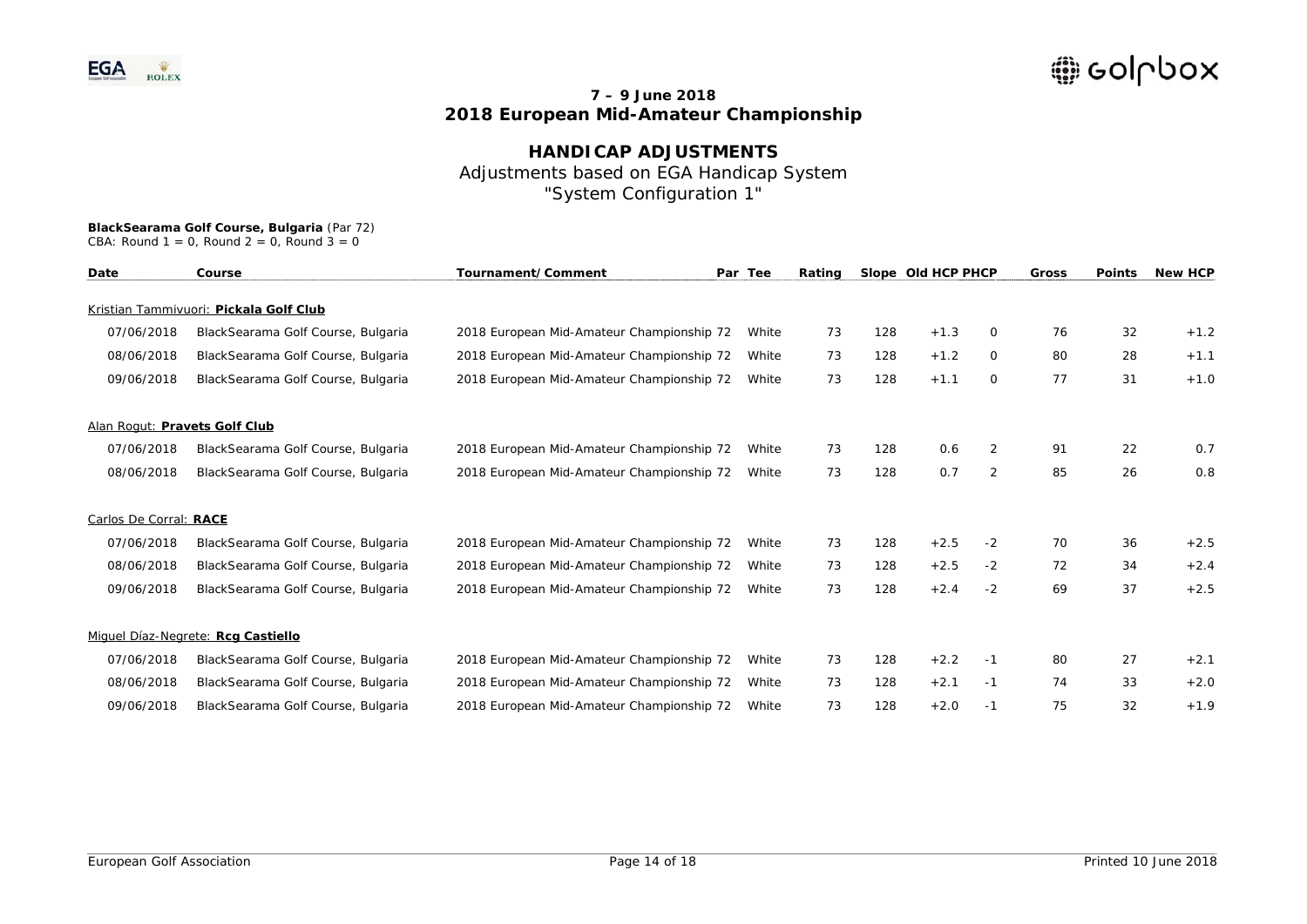# **HANDICAP ADJUSTMENTS** Adjustments based on EGA Handicap System "System Configuration 1"

| Date                          | Course                                 | Tournament/Comment<br>Par Tee             |       | Rating | Slope Old HCP PHCP |        |                | <b>Gross</b> | <b>Points</b> | <b>New HCP</b> |
|-------------------------------|----------------------------------------|-------------------------------------------|-------|--------|--------------------|--------|----------------|--------------|---------------|----------------|
|                               | Kristian Tammivuori: Pickala Golf Club |                                           |       |        |                    |        |                |              |               |                |
| 07/06/2018                    | BlackSearama Golf Course, Bulgaria     | 2018 European Mid-Amateur Championship 72 | White | 73     | 128                | $+1.3$ | 0              | 76           | 32            | $+1.2$         |
| 08/06/2018                    | BlackSearama Golf Course, Bulgaria     | 2018 European Mid-Amateur Championship 72 | White | 73     | 128                | $+1.2$ | 0              | 80           | 28            | $+1.1$         |
| 09/06/2018                    | BlackSearama Golf Course, Bulgaria     | 2018 European Mid-Amateur Championship 72 | White | 73     | 128                | $+1.1$ | 0              | 77           | 31            | $+1.0$         |
| Alan Rogut: Pravets Golf Club |                                        |                                           |       |        |                    |        |                |              |               |                |
| 07/06/2018                    | BlackSearama Golf Course, Bulgaria     | 2018 European Mid-Amateur Championship 72 | White | 73     | 128                | 0.6    | 2              | 91           | 22            | 0.7            |
| 08/06/2018                    | BlackSearama Golf Course, Bulgaria     | 2018 European Mid-Amateur Championship 72 | White | 73     | 128                | 0.7    | $\overline{2}$ | 85           | 26            | 0.8            |
| Carlos De Corral: RACE        |                                        |                                           |       |        |                    |        |                |              |               |                |
| 07/06/2018                    | BlackSearama Golf Course, Bulgaria     | 2018 European Mid-Amateur Championship 72 | White | 73     | 128                | $+2.5$ | $-2$           | 70           | 36            | $+2.5$         |
| 08/06/2018                    | BlackSearama Golf Course, Bulgaria     | 2018 European Mid-Amateur Championship 72 | White | 73     | 128                | $+2.5$ | $-2$           | 72           | 34            | $+2.4$         |
| 09/06/2018                    | BlackSearama Golf Course, Bulgaria     | 2018 European Mid-Amateur Championship 72 | White | 73     | 128                | $+2.4$ | $-2$           | 69           | 37            | $+2.5$         |
|                               | Miguel Díaz-Negrete: Rcg Castiello     |                                           |       |        |                    |        |                |              |               |                |
| 07/06/2018                    | BlackSearama Golf Course, Bulgaria     | 2018 European Mid-Amateur Championship 72 | White | 73     | 128                | $+2.2$ | -1             | 80           | 27            | $+2.1$         |
| 08/06/2018                    | BlackSearama Golf Course, Bulgaria     | 2018 European Mid-Amateur Championship 72 | White | 73     | 128                | $+2.1$ | $-1$           | 74           | 33            | $+2.0$         |
| 09/06/2018                    | BlackSearama Golf Course, Bulgaria     | 2018 European Mid-Amateur Championship 72 | White | 73     | 128                | $+2.0$ | $-1$           | 75           | 32            | $+1.9$         |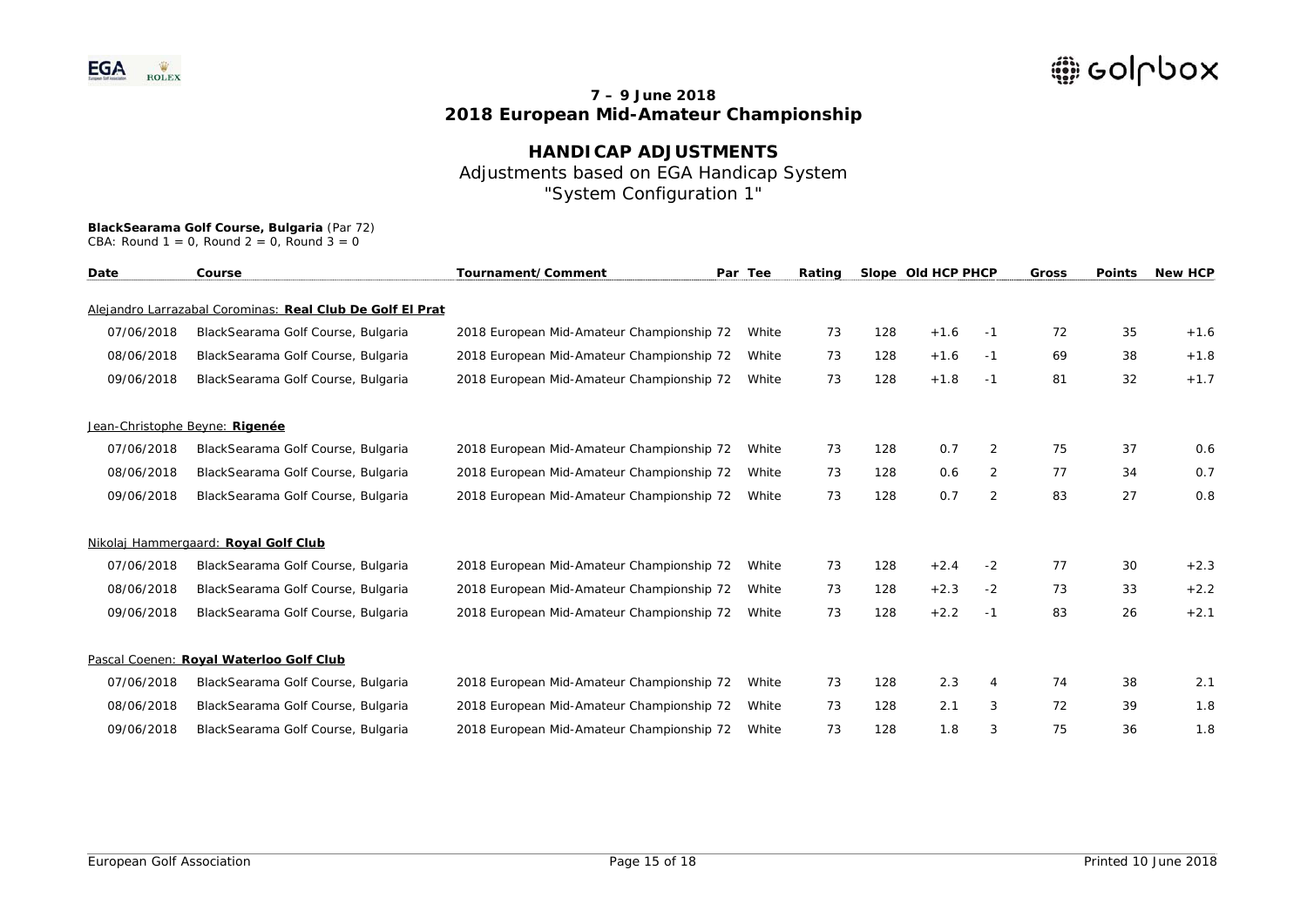## **HANDICAP ADJUSTMENTS**  Adjustments based on EGA Handicap System "System Configuration 1"

## **BlackSearama Golf Course, Bulgaria** (Par 72)

CBA: Round  $1 = 0$ , Round  $2 = 0$ , Round  $3 = 0$ 

| Date       | Tournament/Comment<br>Course                              |                                           | Par Tee<br>Rating |    |     | Slope Old HCP PHCP |                | <b>Gross</b> | <b>Points</b> | <b>New HCP</b> |
|------------|-----------------------------------------------------------|-------------------------------------------|-------------------|----|-----|--------------------|----------------|--------------|---------------|----------------|
|            | Alejandro Larrazabal Corominas: Real Club De Golf El Prat |                                           |                   |    |     |                    |                |              |               |                |
| 07/06/2018 | BlackSearama Golf Course, Bulgaria                        | 2018 European Mid-Amateur Championship 72 | White             | 73 | 128 | $+1.6$             | -1             | 72           | 35            | $+1.6$         |
| 08/06/2018 | BlackSearama Golf Course, Bulgaria                        | 2018 European Mid-Amateur Championship 72 | White             | 73 | 128 | $+1.6$             | $-1$           | 69           | 38            | $+1.8$         |
| 09/06/2018 | BlackSearama Golf Course, Bulgaria                        | 2018 European Mid-Amateur Championship 72 | White             | 73 | 128 | $+1.8$             | -1             | 81           | 32            | $+1.7$         |
|            | Jean-Christophe Beyne: Rigenée                            |                                           |                   |    |     |                    |                |              |               |                |
| 07/06/2018 | BlackSearama Golf Course, Bulgaria                        | 2018 European Mid-Amateur Championship 72 | White             | 73 | 128 | 0.7                | $\overline{2}$ | 75           | 37            | 0.6            |
| 08/06/2018 | BlackSearama Golf Course, Bulgaria                        | 2018 European Mid-Amateur Championship 72 | White             | 73 | 128 | 0.6                | 2              | 77           | 34            | 0.7            |
| 09/06/2018 | BlackSearama Golf Course, Bulgaria                        | 2018 European Mid-Amateur Championship 72 | White             | 73 | 128 | 0.7                | $\overline{2}$ | 83           | 27            | 0.8            |
|            | Nikolaj Hammergaard: Royal Golf Club                      |                                           |                   |    |     |                    |                |              |               |                |
| 07/06/2018 | BlackSearama Golf Course, Bulgaria                        | 2018 European Mid-Amateur Championship 72 | White             | 73 | 128 | $+2.4$             | $-2$           | 77           | 30            | $+2.3$         |
| 08/06/2018 | BlackSearama Golf Course, Bulgaria                        | 2018 European Mid-Amateur Championship 72 | White             | 73 | 128 | $+2.3$             | $-2$           | 73           | 33            | $+2.2$         |
| 09/06/2018 | BlackSearama Golf Course, Bulgaria                        | 2018 European Mid-Amateur Championship 72 | White             | 73 | 128 | $+2.2$             | -1             | 83           | 26            | $+2.1$         |
|            | Pascal Coenen: Royal Waterloo Golf Club                   |                                           |                   |    |     |                    |                |              |               |                |
| 07/06/2018 | BlackSearama Golf Course, Bulgaria                        | 2018 European Mid-Amateur Championship 72 | White             | 73 | 128 | 2.3                | 4              | 74           | 38            | 2.1            |
| 08/06/2018 | BlackSearama Golf Course, Bulgaria                        | 2018 European Mid-Amateur Championship 72 | White             | 73 | 128 | 2.1                | 3              | 72           | 39            | 1.8            |
| 09/06/2018 | BlackSearama Golf Course, Bulgaria                        | 2018 European Mid-Amateur Championship 72 | White             | 73 | 128 | 1.8                | 3              | 75           | 36            | 1.8            |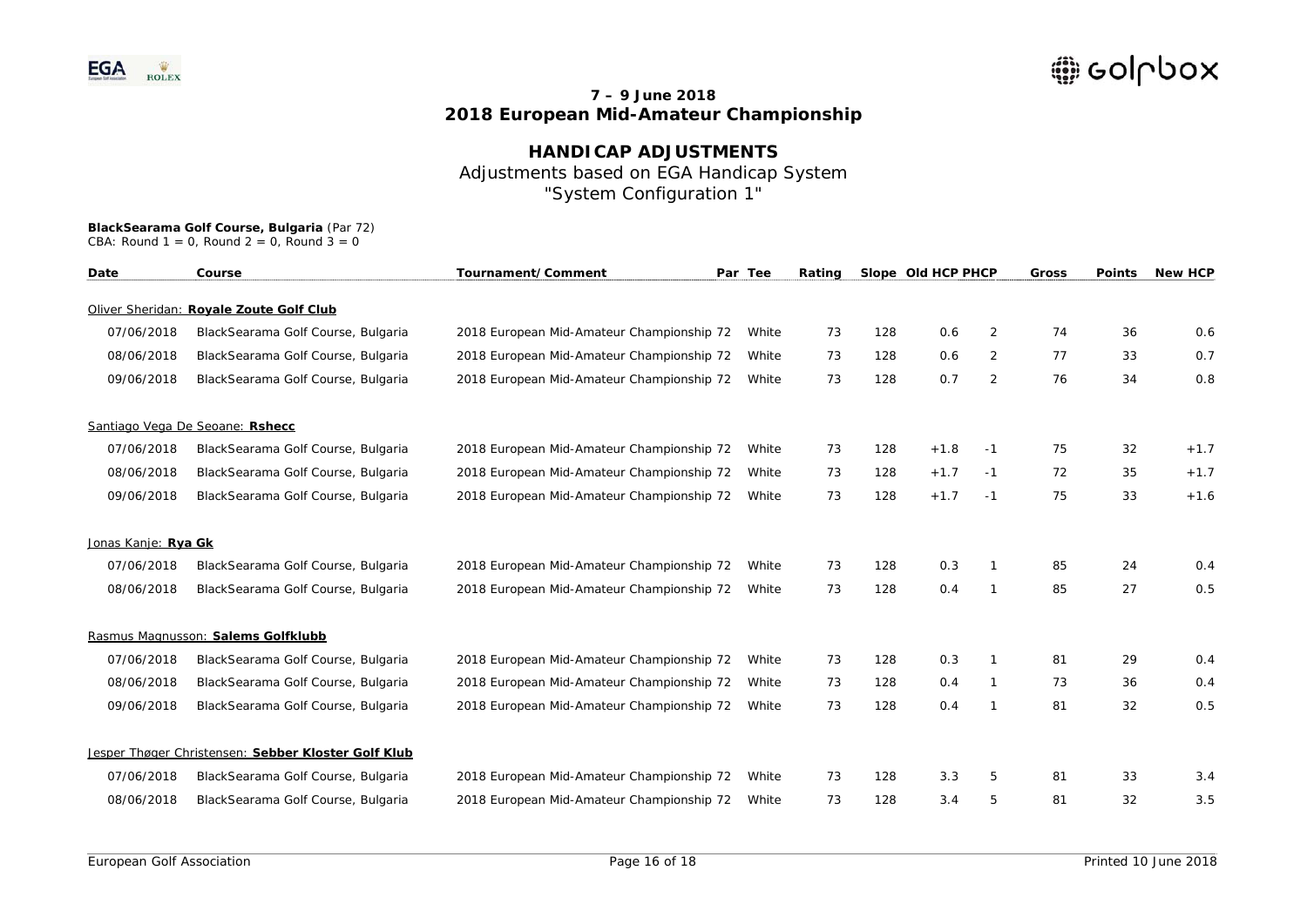## **HANDICAP ADJUSTMENTS**  Adjustments based on EGA Handicap System "System Configuration 1"

| Date                | Tournament/Comment<br>Course                        |                                           | Par Tee |    |     | Slope Old HCP PHCP |              | Gross | <b>Points</b> | <b>New HCP</b> |
|---------------------|-----------------------------------------------------|-------------------------------------------|---------|----|-----|--------------------|--------------|-------|---------------|----------------|
|                     | Oliver Sheridan: Royale Zoute Golf Club             |                                           |         |    |     |                    |              |       |               |                |
| 07/06/2018          | BlackSearama Golf Course, Bulgaria                  | 2018 European Mid-Amateur Championship 72 | White   | 73 | 128 | 0.6                | 2            | 74    | 36            | 0.6            |
| 08/06/2018          | BlackSearama Golf Course, Bulgaria                  | 2018 European Mid-Amateur Championship 72 | White   | 73 | 128 | 0.6                | 2            | 77    | 33            | 0.7            |
| 09/06/2018          | BlackSearama Golf Course, Bulgaria                  | 2018 European Mid-Amateur Championship 72 | White   | 73 | 128 | 0.7                | 2            | 76    | 34            | 0.8            |
|                     | Santiago Vega De Seoane: Rshecc                     |                                           |         |    |     |                    |              |       |               |                |
| 07/06/2018          | BlackSearama Golf Course, Bulgaria                  | 2018 European Mid-Amateur Championship 72 | White   | 73 | 128 | $+1.8$             | $-1$         | 75    | 32            | $+1.7$         |
| 08/06/2018          | BlackSearama Golf Course, Bulgaria                  | 2018 European Mid-Amateur Championship 72 | White   | 73 | 128 | $+1.7$             | $-1$         | 72    | 35            | $+1.7$         |
| 09/06/2018          | BlackSearama Golf Course, Bulgaria                  | 2018 European Mid-Amateur Championship 72 | White   | 73 | 128 | $+1.7$             | $-1$         | 75    | 33            | $+1.6$         |
| Jonas Kanje: Rya Gk |                                                     |                                           |         |    |     |                    |              |       |               |                |
| 07/06/2018          | BlackSearama Golf Course, Bulgaria                  | 2018 European Mid-Amateur Championship 72 | White   | 73 | 128 | 0.3                | 1            | 85    | 24            | 0.4            |
| 08/06/2018          | BlackSearama Golf Course, Bulgaria                  | 2018 European Mid-Amateur Championship 72 | White   | 73 | 128 | 0.4                | $\mathbf{1}$ | 85    | 27            | 0.5            |
|                     | Rasmus Magnusson: Salems Golfklubb                  |                                           |         |    |     |                    |              |       |               |                |
| 07/06/2018          | BlackSearama Golf Course, Bulgaria                  | 2018 European Mid-Amateur Championship 72 | White   | 73 | 128 | 0.3                | 1            | 81    | 29            | 0.4            |
| 08/06/2018          | BlackSearama Golf Course, Bulgaria                  | 2018 European Mid-Amateur Championship 72 | White   | 73 | 128 | 0.4                | 1            | 73    | 36            | 0.4            |
| 09/06/2018          | BlackSearama Golf Course, Bulgaria                  | 2018 European Mid-Amateur Championship 72 | White   | 73 | 128 | 0.4                | 1            | 81    | 32            | 0.5            |
|                     | Jesper Thøger Christensen: Sebber Kloster Golf Klub |                                           |         |    |     |                    |              |       |               |                |
| 07/06/2018          | BlackSearama Golf Course, Bulgaria                  | 2018 European Mid-Amateur Championship 72 | White   | 73 | 128 | 3.3                | 5            | 81    | 33            | 3.4            |
| 08/06/2018          | BlackSearama Golf Course, Bulgaria                  | 2018 European Mid-Amateur Championship 72 | White   | 73 | 128 | 3.4                | 5            | 81    | 32            | 3.5            |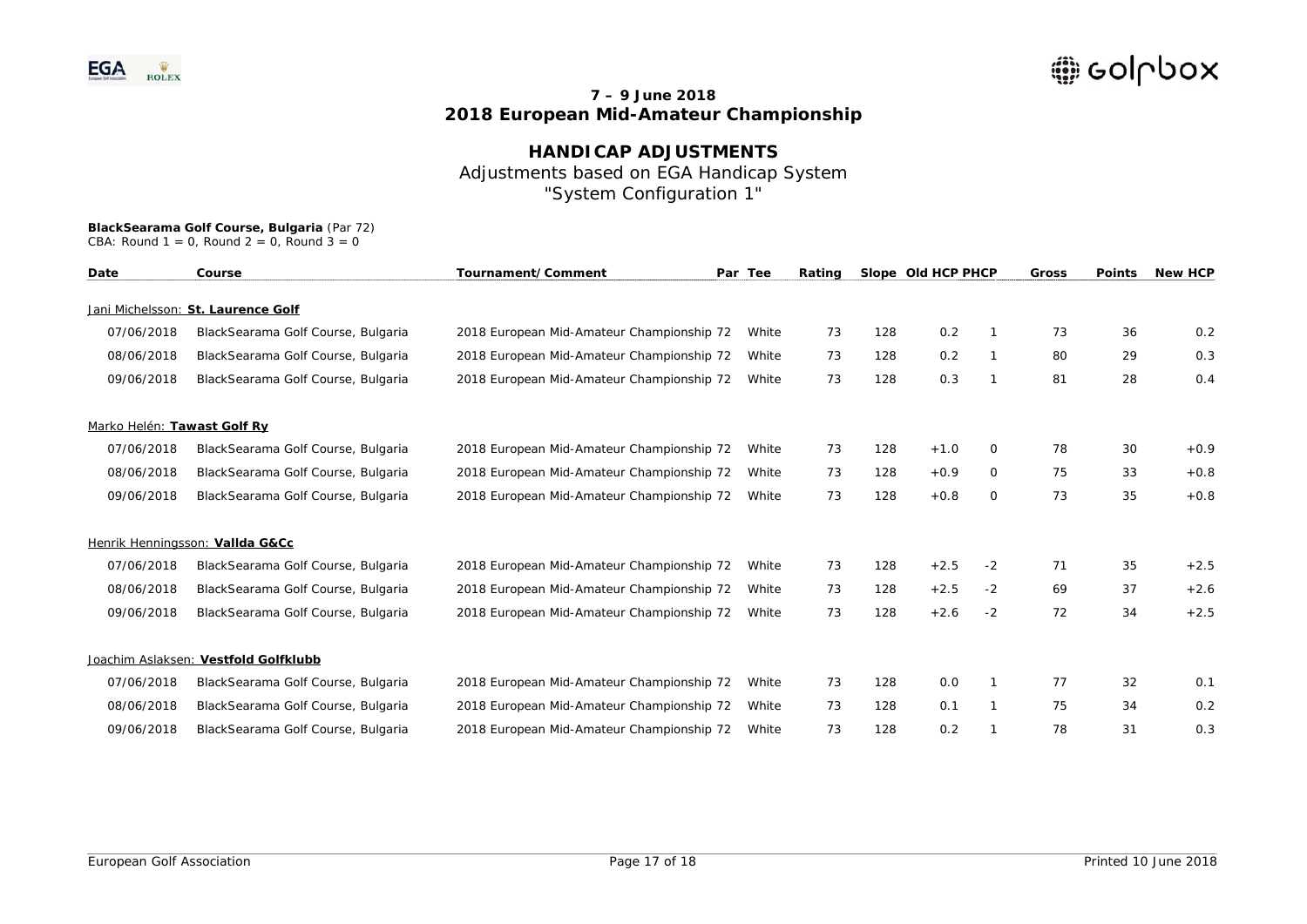# **HANDICAP ADJUSTMENTS** Adjustments based on EGA Handicap System "System Configuration 1"

# **BlackSearama Golf Course, Bulgaria** (Par 72)

| CBA: Round $1 = 0$ , Round $2 = 0$ , Round $3 = 0$ |  |  |  |  |  |  |  |
|----------------------------------------------------|--|--|--|--|--|--|--|
|----------------------------------------------------|--|--|--|--|--|--|--|

| Date                        | Tournament/Comment<br>Course         |                                           | Par Tee | Rating |     | Slope Old HCP PHCP |          | Gross | <b>Points</b> | <b>New HCP</b> |
|-----------------------------|--------------------------------------|-------------------------------------------|---------|--------|-----|--------------------|----------|-------|---------------|----------------|
|                             | Jani Michelsson: St. Laurence Golf   |                                           |         |        |     |                    |          |       |               |                |
| 07/06/2018                  | BlackSearama Golf Course, Bulgaria   | 2018 European Mid-Amateur Championship 72 | White   | 73     | 128 | 0.2                | 1        | 73    | 36            | 0.2            |
| 08/06/2018                  | BlackSearama Golf Course, Bulgaria   | 2018 European Mid-Amateur Championship 72 | White   | 73     | 128 | 0.2                |          | 80    | 29            | 0.3            |
| 09/06/2018                  | BlackSearama Golf Course, Bulgaria   | 2018 European Mid-Amateur Championship 72 | White   | 73     | 128 | 0.3                | 1        | 81    | 28            | 0.4            |
| Marko Helén: Tawast Golf Ry |                                      |                                           |         |        |     |                    |          |       |               |                |
| 07/06/2018                  | BlackSearama Golf Course, Bulgaria   | 2018 European Mid-Amateur Championship 72 | White   | 73     | 128 | $+1.0$             | $\Omega$ | 78    | 30            | $+0.9$         |
| 08/06/2018                  | BlackSearama Golf Course, Bulgaria   | 2018 European Mid-Amateur Championship 72 | White   | 73     | 128 | $+0.9$             | 0        | 75    | 33            | $+0.8$         |
| 09/06/2018                  | BlackSearama Golf Course, Bulgaria   | 2018 European Mid-Amateur Championship 72 | White   | 73     | 128 | $+0.8$             | $\circ$  | 73    | 35            | $+0.8$         |
|                             | Henrik Henningsson: Vallda G&Cc      |                                           |         |        |     |                    |          |       |               |                |
| 07/06/2018                  | BlackSearama Golf Course, Bulgaria   | 2018 European Mid-Amateur Championship 72 | White   | 73     | 128 | $+2.5$             | $-2$     | 71    | 35            | $+2.5$         |
| 08/06/2018                  | BlackSearama Golf Course, Bulgaria   | 2018 European Mid-Amateur Championship 72 | White   | 73     | 128 | $+2.5$             | $-2$     | 69    | 37            | $+2.6$         |
| 09/06/2018                  | BlackSearama Golf Course, Bulgaria   | 2018 European Mid-Amateur Championship 72 | White   | 73     | 128 | $+2.6$             | $-2$     | 72    | 34            | $+2.5$         |
|                             | Joachim Aslaksen: Vestfold Golfklubb |                                           |         |        |     |                    |          |       |               |                |
| 07/06/2018                  | BlackSearama Golf Course, Bulgaria   | 2018 European Mid-Amateur Championship 72 | White   | 73     | 128 | 0.0                |          | 77    | 32            | 0.1            |
| 08/06/2018                  | BlackSearama Golf Course, Bulgaria   | 2018 European Mid-Amateur Championship 72 | White   | 73     | 128 | 0.1                | 1        | 75    | 34            | 0.2            |
| 09/06/2018                  | BlackSearama Golf Course, Bulgaria   | 2018 European Mid-Amateur Championship 72 | White   | 73     | 128 | 0.2                |          | 78    | 31            | 0.3            |